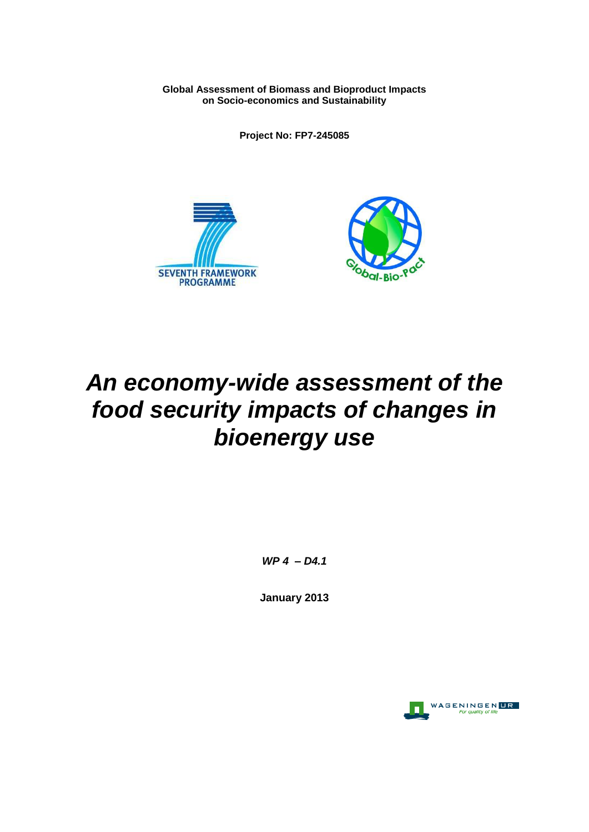**Global Assessment of Biomass and Bioproduct Impacts on Socio-economics and Sustainability**

**Project No: FP7-245085**





# *An economy-wide assessment of the food security impacts of changes in bioenergy use*

*WP 4 – D4.1*

**January 2013**

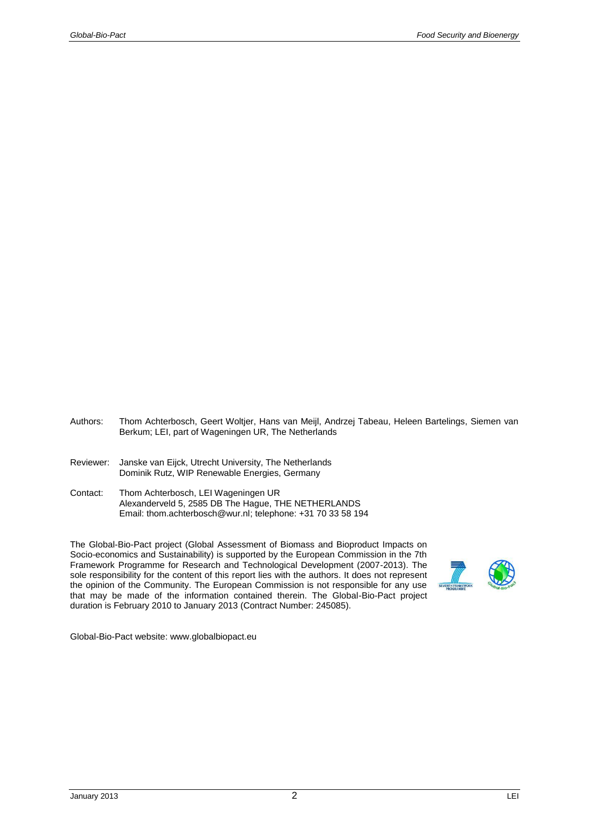- Authors: Thom Achterbosch, Geert Woltjer, Hans van Meijl, Andrzej Tabeau, Heleen Bartelings, Siemen van Berkum; LEI, part of Wageningen UR, The Netherlands
- Reviewer: Janske van Eijck, Utrecht University, The Netherlands Dominik Rutz, WIP Renewable Energies, Germany
- Contact: Thom Achterbosch, LEI Wageningen UR Alexanderveld 5, 2585 DB The Hague, THE NETHERLANDS Email: thom.achterbosch@wur.nl; telephone: +31 70 33 58 194

The Global-Bio-Pact project (Global Assessment of Biomass and Bioproduct Impacts on Socio-economics and Sustainability) is supported by the European Commission in the 7th Framework Programme for Research and Technological Development (2007-2013). The sole responsibility for the content of this report lies with the authors. It does not represent the opinion of the Community. The European Commission is not responsible for any use that may be made of the information contained therein. The Global-Bio-Pact project duration is February 2010 to January 2013 (Contract Number: 245085).



Global-Bio-Pact website: www.globalbiopact.eu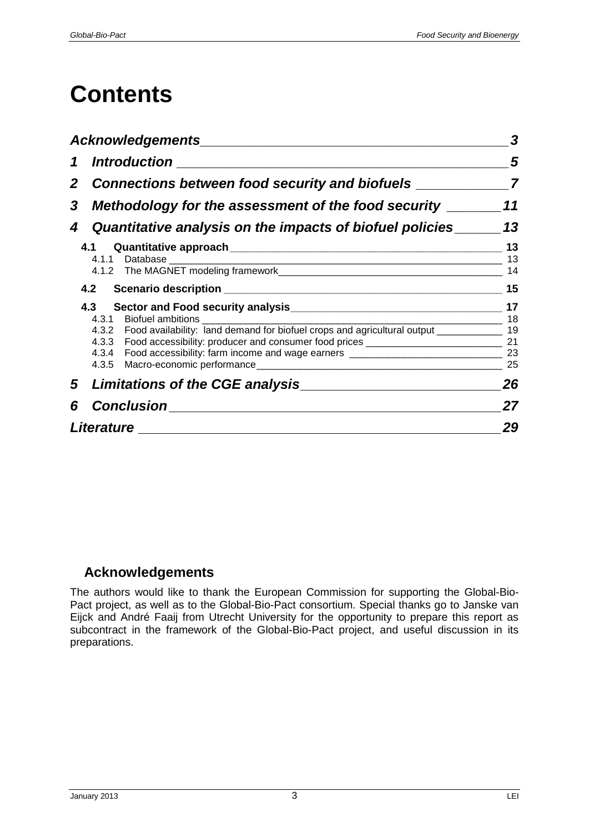# **Contents**

|                | <b>Acknowledgements</b>                                                                                                                                                                                      | 3              |  |  |  |  |  |  |
|----------------|--------------------------------------------------------------------------------------------------------------------------------------------------------------------------------------------------------------|----------------|--|--|--|--|--|--|
| $\mathbf 1$    | <u>Introduction</u>                                                                                                                                                                                          | 5              |  |  |  |  |  |  |
| $\mathbf{2}^-$ |                                                                                                                                                                                                              |                |  |  |  |  |  |  |
| 3              | Methodology for the assessment of the food security                                                                                                                                                          |                |  |  |  |  |  |  |
|                | 4 Quantitative analysis on the impacts of biofuel policies                                                                                                                                                   | 13             |  |  |  |  |  |  |
|                |                                                                                                                                                                                                              | 13<br>13<br>14 |  |  |  |  |  |  |
|                | 4.2                                                                                                                                                                                                          | 15             |  |  |  |  |  |  |
|                |                                                                                                                                                                                                              | 17             |  |  |  |  |  |  |
|                | 4.3.1 Biofuel ambitions<br><u> 1986 - Jan Samuel Barbara, martin da basar da basar</u><br>4.3.2 Food availability: land demand for biofuel crops and agricultural output ______________ 19<br>4.3.4<br>4.3.5 | 18<br>25       |  |  |  |  |  |  |
|                | 5 Limitations of the CGE analysis                                                                                                                                                                            | 26             |  |  |  |  |  |  |
| 6              | Conclusion<br><u>Conclusion</u>                                                                                                                                                                              | 27             |  |  |  |  |  |  |
|                | <i><b>Literature</b></i>                                                                                                                                                                                     | 29             |  |  |  |  |  |  |

## <span id="page-2-0"></span>**Acknowledgements**

The authors would like to thank the European Commission for supporting the Global-Bio-Pact project, as well as to the Global-Bio-Pact consortium. Special thanks go to Janske van Eijck and André Faaij from Utrecht University for the opportunity to prepare this report as subcontract in the framework of the Global-Bio-Pact project, and useful discussion in its preparations.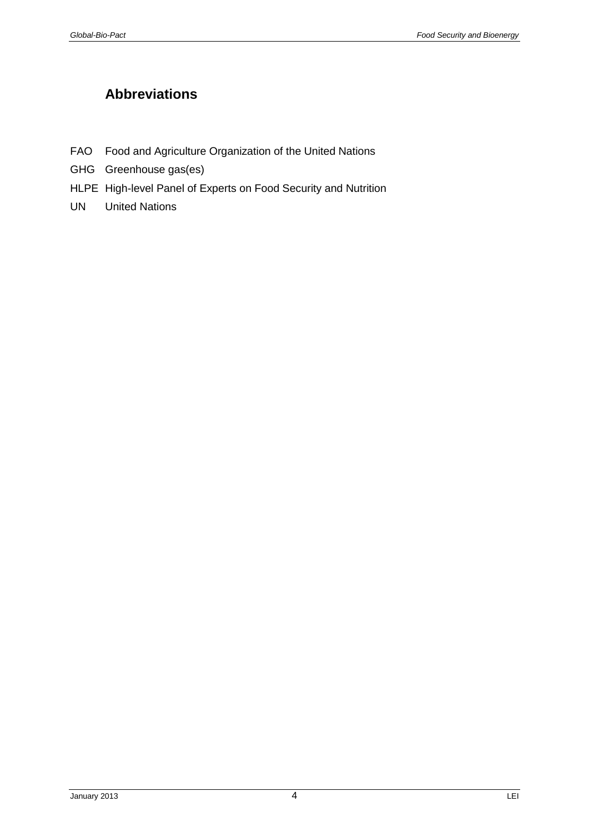# **Abbreviations**

- FAO Food and Agriculture Organization of the United Nations
- GHG Greenhouse gas(es)
- HLPE High-level Panel of Experts on Food Security and Nutrition
- <span id="page-3-0"></span>UN United Nations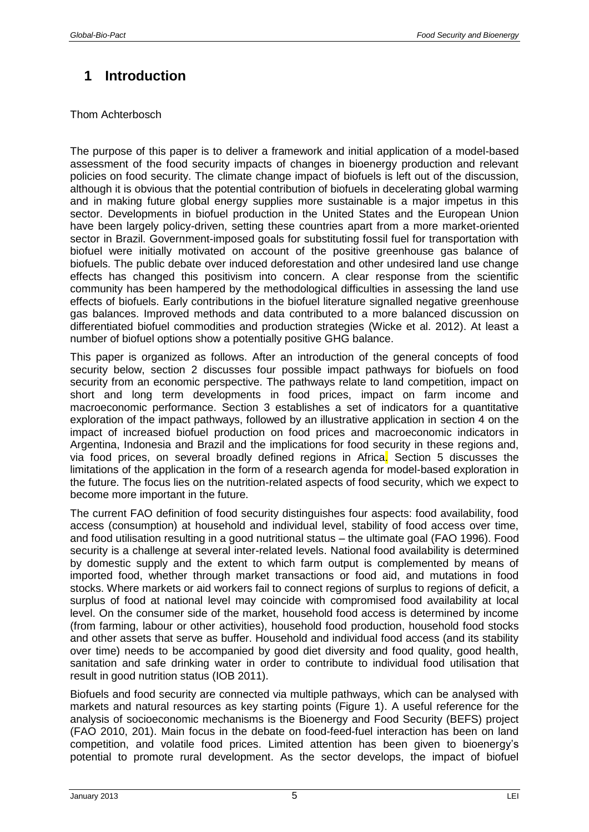# **1 Introduction**

## Thom Achterbosch

The purpose of this paper is to deliver a framework and initial application of a model-based assessment of the food security impacts of changes in bioenergy production and relevant policies on food security. The climate change impact of biofuels is left out of the discussion, although it is obvious that the potential contribution of biofuels in decelerating global warming and in making future global energy supplies more sustainable is a major impetus in this sector. Developments in biofuel production in the United States and the European Union have been largely policy-driven, setting these countries apart from a more market-oriented sector in Brazil. Government-imposed goals for substituting fossil fuel for transportation with biofuel were initially motivated on account of the positive greenhouse gas balance of biofuels. The public debate over induced deforestation and other undesired land use change effects has changed this positivism into concern. A clear response from the scientific community has been hampered by the methodological difficulties in assessing the land use effects of biofuels. Early contributions in the biofuel literature signalled negative greenhouse gas balances. Improved methods and data contributed to a more balanced discussion on differentiated biofuel commodities and production strategies (Wicke et al. 2012). At least a number of biofuel options show a potentially positive GHG balance.

This paper is organized as follows. After an introduction of the general concepts of food security below, section 2 discusses four possible impact pathways for biofuels on food security from an economic perspective. The pathways relate to land competition, impact on short and long term developments in food prices, impact on farm income and macroeconomic performance. Section 3 establishes a set of indicators for a quantitative exploration of the impact pathways, followed by an illustrative application in section 4 on the impact of increased biofuel production on food prices and macroeconomic indicators in Argentina, Indonesia and Brazil and the implications for food security in these regions and, via food prices, on several broadly defined regions in Africa. Section 5 discusses the limitations of the application in the form of a research agenda for model-based exploration in the future. The focus lies on the nutrition-related aspects of food security, which we expect to become more important in the future.

The current FAO definition of food security distinguishes four aspects: food availability, food access (consumption) at household and individual level, stability of food access over time, and food utilisation resulting in a good nutritional status – the ultimate goal (FAO 1996). Food security is a challenge at several inter-related levels. National food availability is determined by domestic supply and the extent to which farm output is complemented by means of imported food, whether through market transactions or food aid, and mutations in food stocks. Where markets or aid workers fail to connect regions of surplus to regions of deficit, a surplus of food at national level may coincide with compromised food availability at local level. On the consumer side of the market, household food access is determined by income (from farming, labour or other activities), household food production, household food stocks and other assets that serve as buffer. Household and individual food access (and its stability over time) needs to be accompanied by good diet diversity and food quality, good health, sanitation and safe drinking water in order to contribute to individual food utilisation that result in good nutrition status (IOB 2011).

Biofuels and food security are connected via multiple pathways, which can be analysed with markets and natural resources as key starting points (Figure 1). A useful reference for the analysis of socioeconomic mechanisms is the Bioenergy and Food Security (BEFS) project (FAO 2010, 201). Main focus in the debate on food-feed-fuel interaction has been on land competition, and volatile food prices. Limited attention has been given to bioenergy's potential to promote rural development. As the sector develops, the impact of biofuel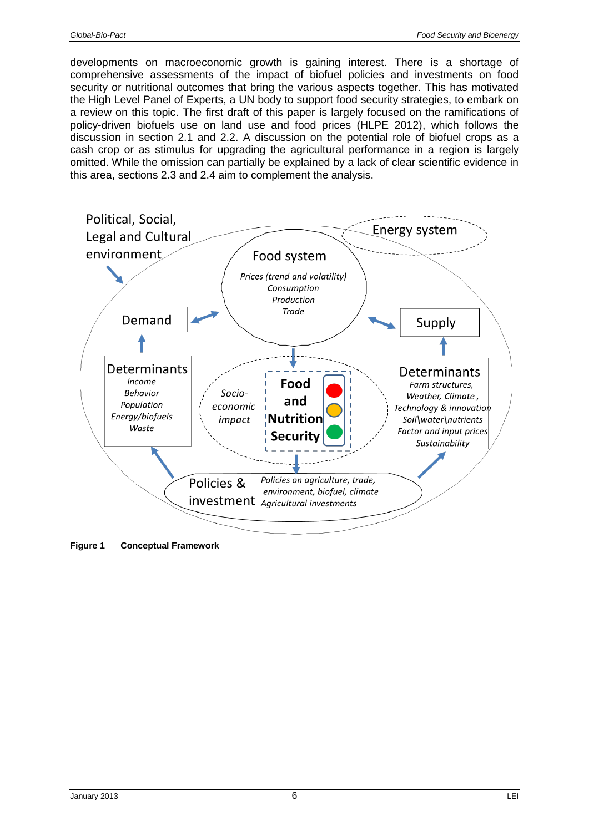developments on macroeconomic growth is gaining interest. There is a shortage of comprehensive assessments of the impact of biofuel policies and investments on food security or nutritional outcomes that bring the various aspects together. This has motivated the High Level Panel of Experts, a UN body to support food security strategies, to embark on a review on this topic. The first draft of this paper is largely focused on the ramifications of policy-driven biofuels use on land use and food prices (HLPE 2012), which follows the discussion in section 2.1 and 2.2. A discussion on the potential role of biofuel crops as a cash crop or as stimulus for upgrading the agricultural performance in a region is largely omitted. While the omission can partially be explained by a lack of clear scientific evidence in this area, sections 2.3 and 2.4 aim to complement the analysis.



**Figure 1 Conceptual Framework**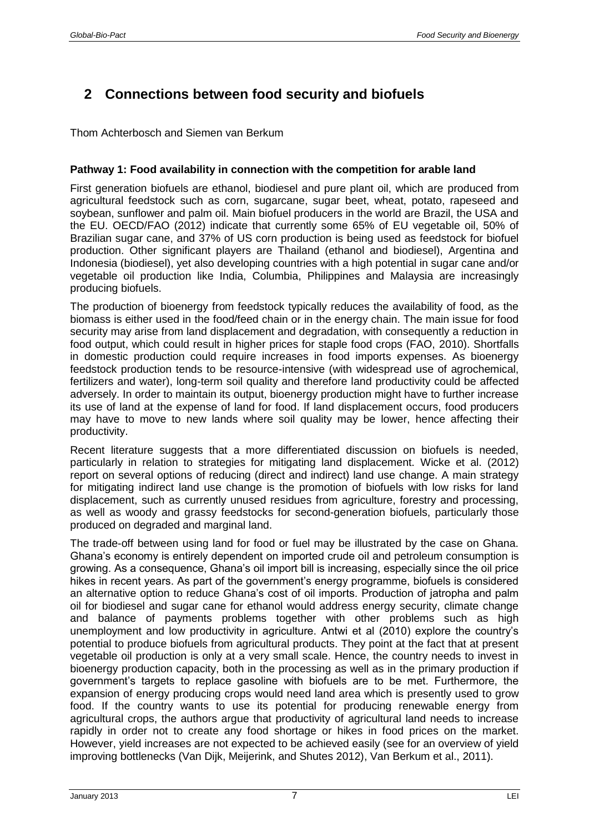# <span id="page-6-0"></span>**2 Connections between food security and biofuels**

Thom Achterbosch and Siemen van Berkum

## **Pathway 1: Food availability in connection with the competition for arable land**

First generation biofuels are ethanol, biodiesel and pure plant oil, which are produced from agricultural feedstock such as corn, sugarcane, sugar beet, wheat, potato, rapeseed and soybean, sunflower and palm oil. Main biofuel producers in the world are Brazil, the USA and the EU. OECD/FAO (2012) indicate that currently some 65% of EU vegetable oil, 50% of Brazilian sugar cane, and 37% of US corn production is being used as feedstock for biofuel production. Other significant players are Thailand (ethanol and biodiesel), Argentina and Indonesia (biodiesel), yet also developing countries with a high potential in sugar cane and/or vegetable oil production like India, Columbia, Philippines and Malaysia are increasingly producing biofuels.

The production of bioenergy from feedstock typically reduces the availability of food, as the biomass is either used in the food/feed chain or in the energy chain. The main issue for food security may arise from land displacement and degradation, with consequently a reduction in food output, which could result in higher prices for staple food crops (FAO, 2010). Shortfalls in domestic production could require increases in food imports expenses. As bioenergy feedstock production tends to be resource-intensive (with widespread use of agrochemical, fertilizers and water), long-term soil quality and therefore land productivity could be affected adversely. In order to maintain its output, bioenergy production might have to further increase its use of land at the expense of land for food. If land displacement occurs, food producers may have to move to new lands where soil quality may be lower, hence affecting their productivity.

Recent literature suggests that a more differentiated discussion on biofuels is needed, particularly in relation to strategies for mitigating land displacement. Wicke et al. (2012) report on several options of reducing (direct and indirect) land use change. A main strategy for mitigating indirect land use change is the promotion of biofuels with low risks for land displacement, such as currently unused residues from agriculture, forestry and processing, as well as woody and grassy feedstocks for second-generation biofuels, particularly those produced on degraded and marginal land.

The trade-off between using land for food or fuel may be illustrated by the case on Ghana. Ghana's economy is entirely dependent on imported crude oil and petroleum consumption is growing. As a consequence, Ghana's oil import bill is increasing, especially since the oil price hikes in recent years. As part of the government's energy programme, biofuels is considered an alternative option to reduce Ghana's cost of oil imports. Production of jatropha and palm oil for biodiesel and sugar cane for ethanol would address energy security, climate change and balance of payments problems together with other problems such as high unemployment and low productivity in agriculture. Antwi et al (2010) explore the country's potential to produce biofuels from agricultural products. They point at the fact that at present vegetable oil production is only at a very small scale. Hence, the country needs to invest in bioenergy production capacity, both in the processing as well as in the primary production if government's targets to replace gasoline with biofuels are to be met. Furthermore, the expansion of energy producing crops would need land area which is presently used to grow food. If the country wants to use its potential for producing renewable energy from agricultural crops, the authors argue that productivity of agricultural land needs to increase rapidly in order not to create any food shortage or hikes in food prices on the market. However, yield increases are not expected to be achieved easily (see for an overview of yield improving bottlenecks (Van Dijk, Meijerink, and Shutes 2012), Van Berkum et al., 2011).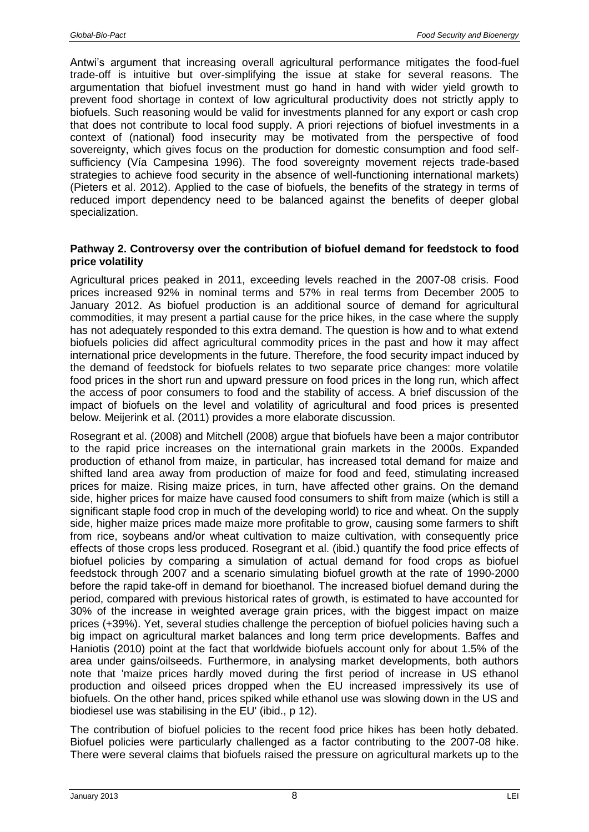Antwi's argument that increasing overall agricultural performance mitigates the food-fuel trade-off is intuitive but over-simplifying the issue at stake for several reasons. The argumentation that biofuel investment must go hand in hand with wider yield growth to prevent food shortage in context of low agricultural productivity does not strictly apply to biofuels. Such reasoning would be valid for investments planned for any export or cash crop that does not contribute to local food supply. A priori rejections of biofuel investments in a context of (national) food insecurity may be motivated from the perspective of food sovereignty, which gives focus on the production for domestic consumption and food selfsufficiency (Vía Campesina 1996). The food sovereignty movement rejects trade-based strategies to achieve food security in the absence of well-functioning international markets) (Pieters et al. 2012). Applied to the case of biofuels, the benefits of the strategy in terms of reduced import dependency need to be balanced against the benefits of deeper global specialization.

#### **Pathway 2. Controversy over the contribution of biofuel demand for feedstock to food price volatility**

Agricultural prices peaked in 2011, exceeding levels reached in the 2007-08 crisis. Food prices increased 92% in nominal terms and 57% in real terms from December 2005 to January 2012. As biofuel production is an additional source of demand for agricultural commodities, it may present a partial cause for the price hikes, in the case where the supply has not adequately responded to this extra demand. The question is how and to what extend biofuels policies did affect agricultural commodity prices in the past and how it may affect international price developments in the future. Therefore, the food security impact induced by the demand of feedstock for biofuels relates to two separate price changes: more volatile food prices in the short run and upward pressure on food prices in the long run, which affect the access of poor consumers to food and the stability of access. A brief discussion of the impact of biofuels on the level and volatility of agricultural and food prices is presented below. Meijerink et al. (2011) provides a more elaborate discussion.

Rosegrant et al. (2008) and Mitchell (2008) argue that biofuels have been a major contributor to the rapid price increases on the international grain markets in the 2000s. Expanded production of ethanol from maize, in particular, has increased total demand for maize and shifted land area away from production of maize for food and feed, stimulating increased prices for maize. Rising maize prices, in turn, have affected other grains. On the demand side, higher prices for maize have caused food consumers to shift from maize (which is still a significant staple food crop in much of the developing world) to rice and wheat. On the supply side, higher maize prices made maize more profitable to grow, causing some farmers to shift from rice, soybeans and/or wheat cultivation to maize cultivation, with consequently price effects of those crops less produced. Rosegrant et al. (ibid.) quantify the food price effects of biofuel policies by comparing a simulation of actual demand for food crops as biofuel feedstock through 2007 and a scenario simulating biofuel growth at the rate of 1990-2000 before the rapid take-off in demand for bioethanol. The increased biofuel demand during the period, compared with previous historical rates of growth, is estimated to have accounted for 30% of the increase in weighted average grain prices, with the biggest impact on maize prices (+39%). Yet, several studies challenge the perception of biofuel policies having such a big impact on agricultural market balances and long term price developments. Baffes and Haniotis (2010) point at the fact that worldwide biofuels account only for about 1.5% of the area under gains/oilseeds. Furthermore, in analysing market developments, both authors note that 'maize prices hardly moved during the first period of increase in US ethanol production and oilseed prices dropped when the EU increased impressively its use of biofuels. On the other hand, prices spiked while ethanol use was slowing down in the US and biodiesel use was stabilising in the EU' (ibid., p 12).

The contribution of biofuel policies to the recent food price hikes has been hotly debated. Biofuel policies were particularly challenged as a factor contributing to the 2007-08 hike. There were several claims that biofuels raised the pressure on agricultural markets up to the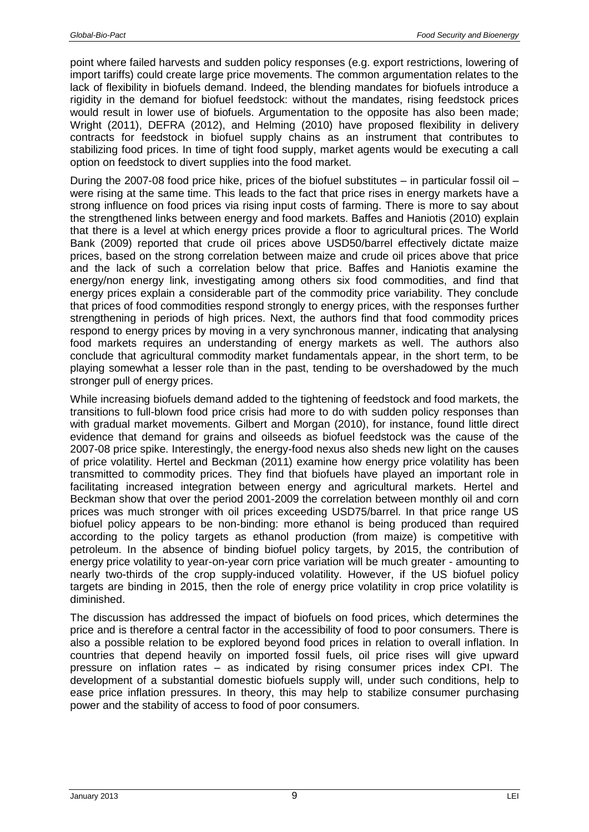point where failed harvests and sudden policy responses (e.g. export restrictions, lowering of import tariffs) could create large price movements. The common argumentation relates to the lack of flexibility in biofuels demand. Indeed, the blending mandates for biofuels introduce a rigidity in the demand for biofuel feedstock: without the mandates, rising feedstock prices would result in lower use of biofuels. Argumentation to the opposite has also been made; Wright (2011), DEFRA (2012), and Helming (2010) have proposed flexibility in delivery contracts for feedstock in biofuel supply chains as an instrument that contributes to stabilizing food prices. In time of tight food supply, market agents would be executing a call option on feedstock to divert supplies into the food market.

During the 2007-08 food price hike, prices of the biofuel substitutes  $-$  in particular fossil oil  $$ were rising at the same time. This leads to the fact that price rises in energy markets have a strong influence on food prices via rising input costs of farming. There is more to say about the strengthened links between energy and food markets. Baffes and Haniotis (2010) explain that there is a level at which energy prices provide a floor to agricultural prices. The World Bank (2009) reported that crude oil prices above USD50/barrel effectively dictate maize prices, based on the strong correlation between maize and crude oil prices above that price and the lack of such a correlation below that price. Baffes and Haniotis examine the energy/non energy link, investigating among others six food commodities, and find that energy prices explain a considerable part of the commodity price variability. They conclude that prices of food commodities respond strongly to energy prices, with the responses further strengthening in periods of high prices. Next, the authors find that food commodity prices respond to energy prices by moving in a very synchronous manner, indicating that analysing food markets requires an understanding of energy markets as well. The authors also conclude that agricultural commodity market fundamentals appear, in the short term, to be playing somewhat a lesser role than in the past, tending to be overshadowed by the much stronger pull of energy prices.

While increasing biofuels demand added to the tightening of feedstock and food markets, the transitions to full-blown food price crisis had more to do with sudden policy responses than with gradual market movements. Gilbert and Morgan (2010), for instance, found little direct evidence that demand for grains and oilseeds as biofuel feedstock was the cause of the 2007-08 price spike. Interestingly, the energy-food nexus also sheds new light on the causes of price volatility. Hertel and Beckman (2011) examine how energy price volatility has been transmitted to commodity prices. They find that biofuels have played an important role in facilitating increased integration between energy and agricultural markets. Hertel and Beckman show that over the period 2001-2009 the correlation between monthly oil and corn prices was much stronger with oil prices exceeding USD75/barrel. In that price range US biofuel policy appears to be non-binding: more ethanol is being produced than required according to the policy targets as ethanol production (from maize) is competitive with petroleum. In the absence of binding biofuel policy targets, by 2015, the contribution of energy price volatility to year-on-year corn price variation will be much greater - amounting to nearly two-thirds of the crop supply-induced volatility. However, if the US biofuel policy targets are binding in 2015, then the role of energy price volatility in crop price volatility is diminished.

The discussion has addressed the impact of biofuels on food prices, which determines the price and is therefore a central factor in the accessibility of food to poor consumers. There is also a possible relation to be explored beyond food prices in relation to overall inflation. In countries that depend heavily on imported fossil fuels, oil price rises will give upward pressure on inflation rates – as indicated by rising consumer prices index CPI. The development of a substantial domestic biofuels supply will, under such conditions, help to ease price inflation pressures. In theory, this may help to stabilize consumer purchasing power and the stability of access to food of poor consumers.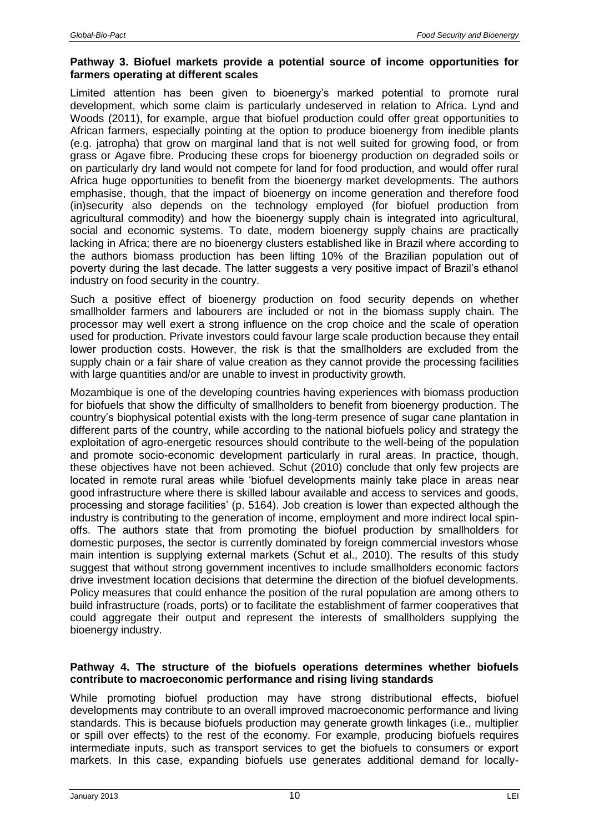### **Pathway 3. Biofuel markets provide a potential source of income opportunities for farmers operating at different scales**

Limited attention has been given to bioenergy's marked potential to promote rural development, which some claim is particularly undeserved in relation to Africa. Lynd and Woods (2011), for example, argue that biofuel production could offer great opportunities to African farmers, especially pointing at the option to produce bioenergy from inedible plants (e.g. jatropha) that grow on marginal land that is not well suited for growing food, or from grass or Agave fibre. Producing these crops for bioenergy production on degraded soils or on particularly dry land would not compete for land for food production, and would offer rural Africa huge opportunities to benefit from the bioenergy market developments. The authors emphasise, though, that the impact of bioenergy on income generation and therefore food (in)security also depends on the technology employed (for biofuel production from agricultural commodity) and how the bioenergy supply chain is integrated into agricultural, social and economic systems. To date, modern bioenergy supply chains are practically lacking in Africa; there are no bioenergy clusters established like in Brazil where according to the authors biomass production has been lifting 10% of the Brazilian population out of poverty during the last decade. The latter suggests a very positive impact of Brazil's ethanol industry on food security in the country.

Such a positive effect of bioenergy production on food security depends on whether smallholder farmers and labourers are included or not in the biomass supply chain. The processor may well exert a strong influence on the crop choice and the scale of operation used for production. Private investors could favour large scale production because they entail lower production costs. However, the risk is that the smallholders are excluded from the supply chain or a fair share of value creation as they cannot provide the processing facilities with large quantities and/or are unable to invest in productivity growth.

Mozambique is one of the developing countries having experiences with biomass production for biofuels that show the difficulty of smallholders to benefit from bioenergy production. The country's biophysical potential exists with the long-term presence of sugar cane plantation in different parts of the country, while according to the national biofuels policy and strategy the exploitation of agro-energetic resources should contribute to the well-being of the population and promote socio-economic development particularly in rural areas. In practice, though, these objectives have not been achieved. Schut (2010) conclude that only few projects are located in remote rural areas while 'biofuel developments mainly take place in areas near good infrastructure where there is skilled labour available and access to services and goods, processing and storage facilities' (p. 5164). Job creation is lower than expected although the industry is contributing to the generation of income, employment and more indirect local spinoffs. The authors state that from promoting the biofuel production by smallholders for domestic purposes, the sector is currently dominated by foreign commercial investors whose main intention is supplying external markets (Schut et al., 2010). The results of this study suggest that without strong government incentives to include smallholders economic factors drive investment location decisions that determine the direction of the biofuel developments. Policy measures that could enhance the position of the rural population are among others to build infrastructure (roads, ports) or to facilitate the establishment of farmer cooperatives that could aggregate their output and represent the interests of smallholders supplying the bioenergy industry.

### **Pathway 4. The structure of the biofuels operations determines whether biofuels contribute to macroeconomic performance and rising living standards**

While promoting biofuel production may have strong distributional effects, biofuel developments may contribute to an overall improved macroeconomic performance and living standards. This is because biofuels production may generate growth linkages (i.e., multiplier or spill over effects) to the rest of the economy. For example, producing biofuels requires intermediate inputs, such as transport services to get the biofuels to consumers or export markets. In this case, expanding biofuels use generates additional demand for locally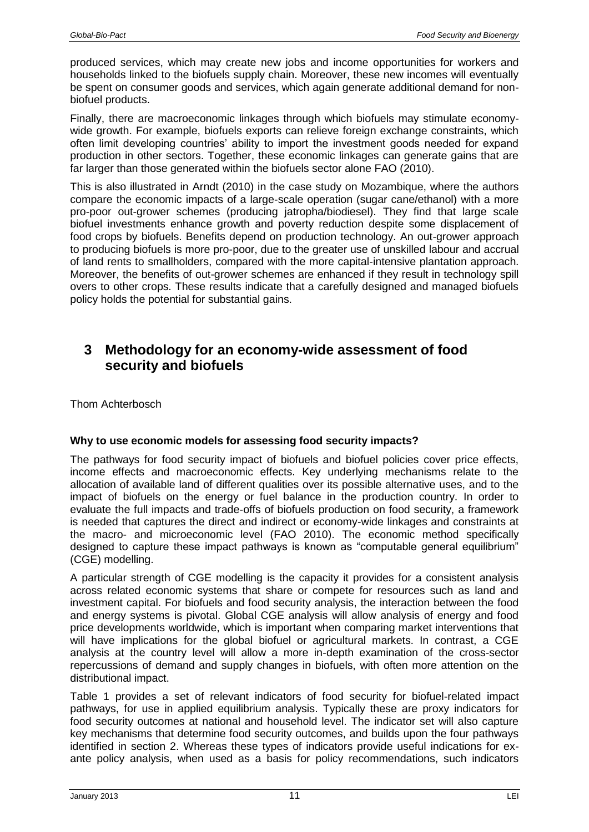produced services, which may create new jobs and income opportunities for workers and households linked to the biofuels supply chain. Moreover, these new incomes will eventually be spent on consumer goods and services, which again generate additional demand for nonbiofuel products.

Finally, there are macroeconomic linkages through which biofuels may stimulate economywide growth. For example, biofuels exports can relieve foreign exchange constraints, which often limit developing countries' ability to import the investment goods needed for expand production in other sectors. Together, these economic linkages can generate gains that are far larger than those generated within the biofuels sector alone FAO (2010).

This is also illustrated in Arndt (2010) in the case study on Mozambique, where the authors compare the economic impacts of a large-scale operation (sugar cane/ethanol) with a more pro-poor out-grower schemes (producing jatropha/biodiesel). They find that large scale biofuel investments enhance growth and poverty reduction despite some displacement of food crops by biofuels. Benefits depend on production technology. An out-grower approach to producing biofuels is more pro-poor, due to the greater use of unskilled labour and accrual of land rents to smallholders, compared with the more capital-intensive plantation approach. Moreover, the benefits of out-grower schemes are enhanced if they result in technology spill overs to other crops. These results indicate that a carefully designed and managed biofuels policy holds the potential for substantial gains.

# <span id="page-10-0"></span>**3 Methodology for an economy-wide assessment of food security and biofuels**

Thom Achterbosch

## **Why to use economic models for assessing food security impacts?**

The pathways for food security impact of biofuels and biofuel policies cover price effects, income effects and macroeconomic effects. Key underlying mechanisms relate to the allocation of available land of different qualities over its possible alternative uses, and to the impact of biofuels on the energy or fuel balance in the production country. In order to evaluate the full impacts and trade-offs of biofuels production on food security, a framework is needed that captures the direct and indirect or economy-wide linkages and constraints at the macro- and microeconomic level (FAO 2010). The economic method specifically designed to capture these impact pathways is known as "computable general equilibrium" (CGE) modelling.

A particular strength of CGE modelling is the capacity it provides for a consistent analysis across related economic systems that share or compete for resources such as land and investment capital. For biofuels and food security analysis, the interaction between the food and energy systems is pivotal. Global CGE analysis will allow analysis of energy and food price developments worldwide, which is important when comparing market interventions that will have implications for the global biofuel or agricultural markets. In contrast, a CGE analysis at the country level will allow a more in-depth examination of the cross-sector repercussions of demand and supply changes in biofuels, with often more attention on the distributional impact.

Table 1 provides a set of relevant indicators of food security for biofuel-related impact pathways, for use in applied equilibrium analysis. Typically these are proxy indicators for food security outcomes at national and household level. The indicator set will also capture key mechanisms that determine food security outcomes, and builds upon the four pathways identified in section 2. Whereas these types of indicators provide useful indications for exante policy analysis, when used as a basis for policy recommendations, such indicators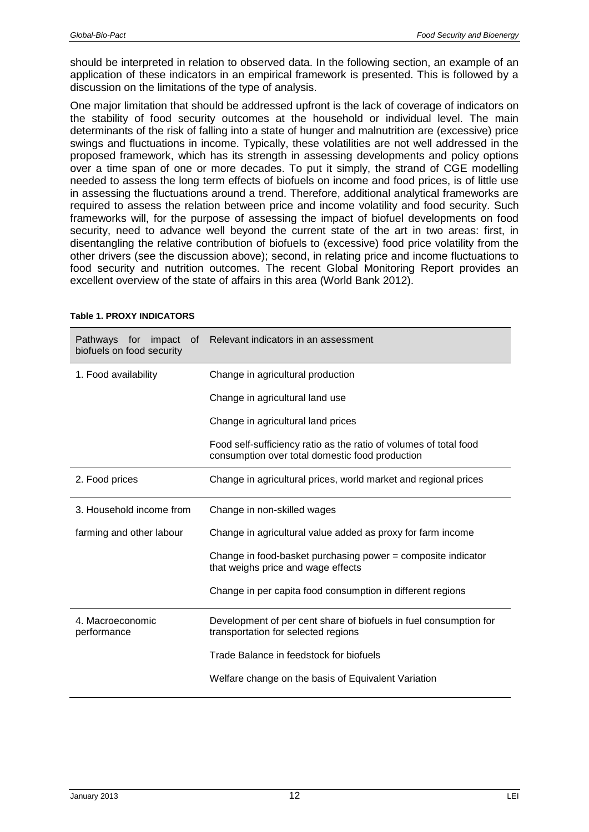should be interpreted in relation to observed data. In the following section, an example of an application of these indicators in an empirical framework is presented. This is followed by a discussion on the limitations of the type of analysis.

One major limitation that should be addressed upfront is the lack of coverage of indicators on the stability of food security outcomes at the household or individual level. The main determinants of the risk of falling into a state of hunger and malnutrition are (excessive) price swings and fluctuations in income. Typically, these volatilities are not well addressed in the proposed framework, which has its strength in assessing developments and policy options over a time span of one or more decades. To put it simply, the strand of CGE modelling needed to assess the long term effects of biofuels on income and food prices, is of little use in assessing the fluctuations around a trend. Therefore, additional analytical frameworks are required to assess the relation between price and income volatility and food security. Such frameworks will, for the purpose of assessing the impact of biofuel developments on food security, need to advance well beyond the current state of the art in two areas: first, in disentangling the relative contribution of biofuels to (excessive) food price volatility from the other drivers (see the discussion above); second, in relating price and income fluctuations to food security and nutrition outcomes. The recent Global Monitoring Report provides an excellent overview of the state of affairs in this area (World Bank 2012).

| Pathways for impact<br>0f<br>biofuels on food security | Relevant indicators in an assessment                                                                                 |
|--------------------------------------------------------|----------------------------------------------------------------------------------------------------------------------|
| 1. Food availability                                   | Change in agricultural production                                                                                    |
|                                                        | Change in agricultural land use                                                                                      |
|                                                        | Change in agricultural land prices                                                                                   |
|                                                        | Food self-sufficiency ratio as the ratio of volumes of total food<br>consumption over total domestic food production |
| 2. Food prices                                         | Change in agricultural prices, world market and regional prices                                                      |
| 3. Household income from                               | Change in non-skilled wages                                                                                          |
| farming and other labour                               | Change in agricultural value added as proxy for farm income                                                          |
|                                                        | Change in food-basket purchasing power = composite indicator<br>that weighs price and wage effects                   |
|                                                        | Change in per capita food consumption in different regions                                                           |
| 4. Macroeconomic<br>performance                        | Development of per cent share of biofuels in fuel consumption for<br>transportation for selected regions             |
|                                                        | Trade Balance in feedstock for biofuels                                                                              |
|                                                        | Welfare change on the basis of Equivalent Variation                                                                  |

#### **Table 1. PROXY INDICATORS**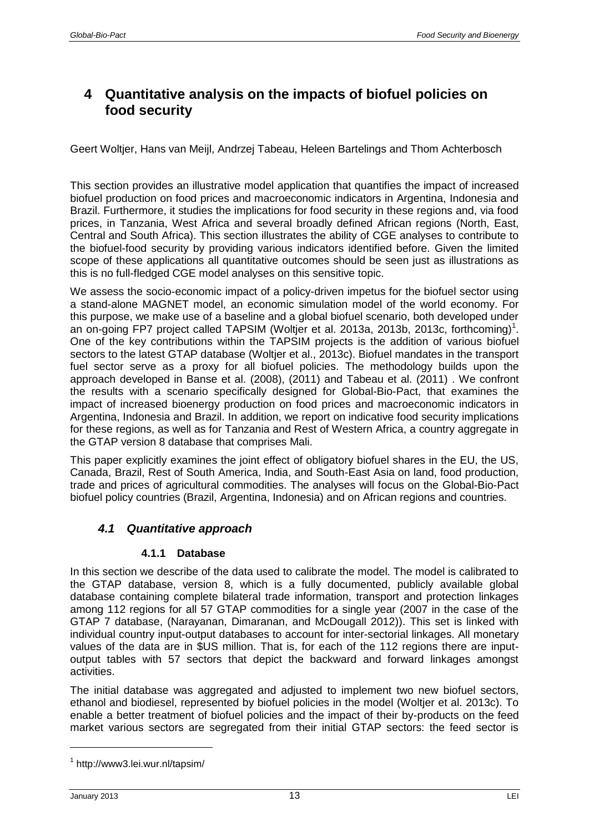# <span id="page-12-0"></span>**4 Quantitative analysis on the impacts of biofuel policies on food security**

Geert Woltjer, Hans van Meijl, Andrzej Tabeau, Heleen Bartelings and Thom Achterbosch

This section provides an illustrative model application that quantifies the impact of increased biofuel production on food prices and macroeconomic indicators in Argentina, Indonesia and Brazil. Furthermore, it studies the implications for food security in these regions and, via food prices, in Tanzania, West Africa and several broadly defined African regions (North, East, Central and South Africa). This section illustrates the ability of CGE analyses to contribute to the biofuel-food security by providing various indicators identified before. Given the limited scope of these applications all quantitative outcomes should be seen just as illustrations as this is no full-fledged CGE model analyses on this sensitive topic.

We assess the socio-economic impact of a policy-driven impetus for the biofuel sector using a stand-alone MAGNET model, an economic simulation model of the world economy. For this purpose, we make use of a baseline and a global biofuel scenario, both developed under an on-going FP7 project called TAPSIM (Woltjer et al. 2013a, 2013b, 2013c, forthcoming)<sup>1</sup>. One of the key contributions within the TAPSIM projects is the addition of various biofuel sectors to the latest GTAP database (Woltjer et al., 2013c). Biofuel mandates in the transport fuel sector serve as a proxy for all biofuel policies. The methodology builds upon the approach developed in Banse et al. (2008), (2011) and Tabeau et al. (2011) . We confront the results with a scenario specifically designed for Global-Bio-Pact, that examines the impact of increased bioenergy production on food prices and macroeconomic indicators in Argentina, Indonesia and Brazil. In addition, we report on indicative food security implications for these regions, as well as for Tanzania and Rest of Western Africa, a country aggregate in the GTAP version 8 database that comprises Mali.

This paper explicitly examines the joint effect of obligatory biofuel shares in the EU, the US, Canada, Brazil, Rest of South America, India, and South-East Asia on land, food production, trade and prices of agricultural commodities. The analyses will focus on the Global-Bio-Pact biofuel policy countries (Brazil, Argentina, Indonesia) and on African regions and countries.

## <span id="page-12-1"></span>*4.1 Quantitative approach*

## **4.1.1 Database**

<span id="page-12-2"></span>In this section we describe of the data used to calibrate the model. The model is calibrated to the GTAP database, version 8, which is a fully documented, publicly available global database containing complete bilateral trade information, transport and protection linkages among 112 regions for all 57 GTAP commodities for a single year (2007 in the case of the GTAP 7 database, (Narayanan, Dimaranan, and McDougall 2012)). This set is linked with individual country input-output databases to account for inter-sectorial linkages. All monetary values of the data are in \$US million. That is, for each of the 112 regions there are inputoutput tables with 57 sectors that depict the backward and forward linkages amongst activities.

The initial database was aggregated and adjusted to implement two new biofuel sectors, ethanol and biodiesel, represented by biofuel policies in the model (Woltjer et al. 2013c). To enable a better treatment of biofuel policies and the impact of their by-products on the feed market various sectors are segregated from their initial GTAP sectors: the feed sector is

 $\overline{a}$ 

<sup>1</sup> http://www3.lei.wur.nl/tapsim/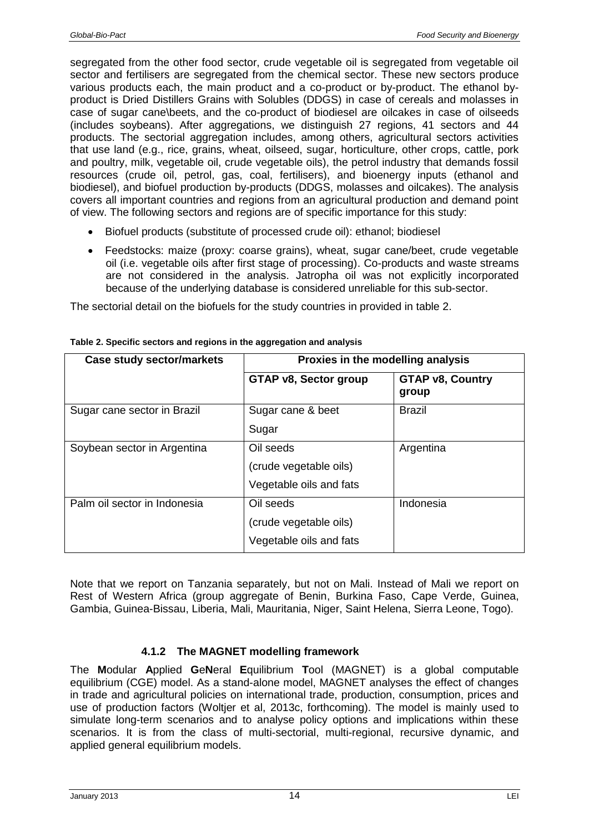segregated from the other food sector, crude vegetable oil is segregated from vegetable oil sector and fertilisers are segregated from the chemical sector. These new sectors produce various products each, the main product and a co-product or by-product. The ethanol byproduct is Dried Distillers Grains with Solubles (DDGS) in case of cereals and molasses in case of sugar cane\beets, and the co-product of biodiesel are oilcakes in case of oilseeds (includes soybeans). After aggregations, we distinguish 27 regions, 41 sectors and 44 products. The sectorial aggregation includes, among others, agricultural sectors activities that use land (e.g., rice, grains, wheat, oilseed, sugar, horticulture, other crops, cattle, pork and poultry, milk, vegetable oil, crude vegetable oils), the petrol industry that demands fossil resources (crude oil, petrol, gas, coal, fertilisers), and bioenergy inputs (ethanol and biodiesel), and biofuel production by-products (DDGS, molasses and oilcakes). The analysis covers all important countries and regions from an agricultural production and demand point of view. The following sectors and regions are of specific importance for this study:

- Biofuel products (substitute of processed crude oil): ethanol; biodiesel
- Feedstocks: maize (proxy: coarse grains), wheat, sugar cane/beet, crude vegetable oil (i.e. vegetable oils after first stage of processing). Co-products and waste streams are not considered in the analysis. Jatropha oil was not explicitly incorporated because of the underlying database is considered unreliable for this sub-sector.

The sectorial detail on the biofuels for the study countries in provided in table 2.

| <b>Case study sector/markets</b> | Proxies in the modelling analysis                              |                                  |  |  |  |  |
|----------------------------------|----------------------------------------------------------------|----------------------------------|--|--|--|--|
|                                  | <b>GTAP v8, Sector group</b>                                   | <b>GTAP v8, Country</b><br>group |  |  |  |  |
| Sugar cane sector in Brazil      | Sugar cane & beet<br>Sugar                                     | <b>Brazil</b>                    |  |  |  |  |
| Soybean sector in Argentina      | Oil seeds<br>(crude vegetable oils)<br>Vegetable oils and fats | Argentina                        |  |  |  |  |
| Palm oil sector in Indonesia     | Oil seeds<br>(crude vegetable oils)<br>Vegetable oils and fats | Indonesia                        |  |  |  |  |

**Table 2. Specific sectors and regions in the aggregation and analysis**

Note that we report on Tanzania separately, but not on Mali. Instead of Mali we report on Rest of Western Africa (group aggregate of Benin, Burkina Faso, Cape Verde, Guinea, Gambia, Guinea-Bissau, Liberia, Mali, Mauritania, Niger, Saint Helena, Sierra Leone, Togo).

## **4.1.2 The MAGNET modelling framework**

<span id="page-13-0"></span>The **M**odular **A**pplied **G**e**N**eral **E**quilibrium **T**ool (MAGNET) is a global computable equilibrium (CGE) model. As a stand-alone model, MAGNET analyses the effect of changes in trade and agricultural policies on international trade, production, consumption, prices and use of production factors (Woltjer et al, 2013c, forthcoming). The model is mainly used to simulate long-term scenarios and to analyse policy options and implications within these scenarios. It is from the class of multi-sectorial, multi-regional, recursive dynamic, and applied general equilibrium models.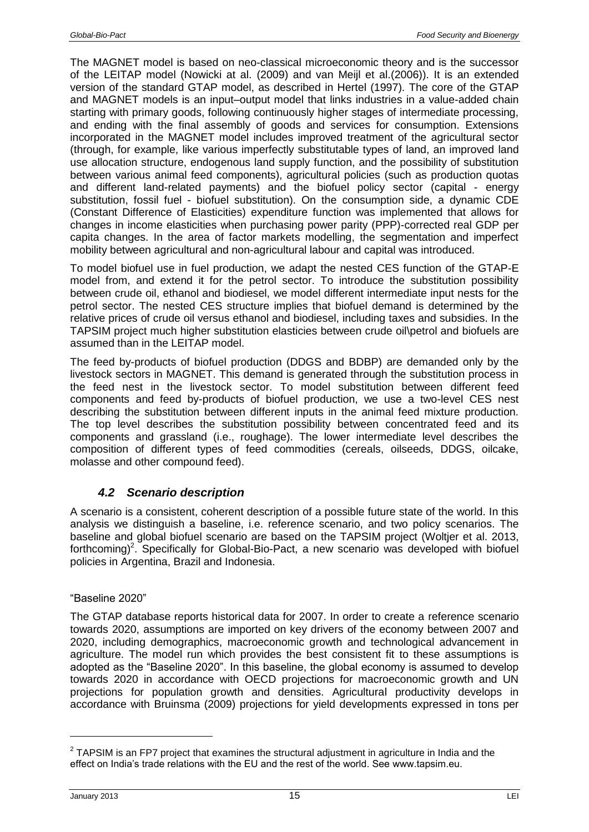The MAGNET model is based on neo-classical microeconomic theory and is the successor of the LEITAP model (Nowicki at al. (2009) and van Meijl et al.(2006)). It is an extended version of the standard GTAP model, as described in Hertel (1997). The core of the GTAP and MAGNET models is an input–output model that links industries in a value-added chain starting with primary goods, following continuously higher stages of intermediate processing, and ending with the final assembly of goods and services for consumption. Extensions incorporated in the MAGNET model includes improved treatment of the agricultural sector (through, for example, like various imperfectly substitutable types of land, an improved land use allocation structure, endogenous land supply function, and the possibility of substitution between various animal feed components), agricultural policies (such as production quotas and different land-related payments) and the biofuel policy sector (capital - energy substitution, fossil fuel - biofuel substitution). On the consumption side, a dynamic CDE (Constant Difference of Elasticities) expenditure function was implemented that allows for changes in income elasticities when purchasing power parity (PPP)-corrected real GDP per capita changes. In the area of factor markets modelling, the segmentation and imperfect mobility between agricultural and non-agricultural labour and capital was introduced.

To model biofuel use in fuel production, we adapt the nested CES function of the GTAP-E model from, and extend it for the petrol sector. To introduce the substitution possibility between crude oil, ethanol and biodiesel, we model different intermediate input nests for the petrol sector. The nested CES structure implies that biofuel demand is determined by the relative prices of crude oil versus ethanol and biodiesel, including taxes and subsidies. In the TAPSIM project much higher substitution elasticies between crude oil\petrol and biofuels are assumed than in the LEITAP model.

The feed by-products of biofuel production (DDGS and BDBP) are demanded only by the livestock sectors in MAGNET. This demand is generated through the substitution process in the feed nest in the livestock sector. To model substitution between different feed components and feed by-products of biofuel production, we use a two-level CES nest describing the substitution between different inputs in the animal feed mixture production. The top level describes the substitution possibility between concentrated feed and its components and grassland (i.e., roughage). The lower intermediate level describes the composition of different types of feed commodities (cereals, oilseeds, DDGS, oilcake, molasse and other compound feed).

## *4.2 Scenario description*

<span id="page-14-0"></span>A scenario is a consistent, coherent description of a possible future state of the world. In this analysis we distinguish a baseline, i.e. reference scenario, and two policy scenarios. The baseline and global biofuel scenario are based on the TAPSIM project (Woltjer et al. 2013, forthcoming)<sup>2</sup>. Specifically for Global-Bio-Pact, a new scenario was developed with biofuel policies in Argentina, Brazil and Indonesia.

## "Baseline 2020"

The GTAP database reports historical data for 2007. In order to create a reference scenario towards 2020, assumptions are imported on key drivers of the economy between 2007 and 2020, including demographics, macroeconomic growth and technological advancement in agriculture. The model run which provides the best consistent fit to these assumptions is adopted as the "Baseline 2020". In this baseline, the global economy is assumed to develop towards 2020 in accordance with OECD projections for macroeconomic growth and UN projections for population growth and densities. Agricultural productivity develops in accordance with Bruinsma (2009) projections for yield developments expressed in tons per

 $2$  TAPSIM is an FP7 project that examines the structural adjustment in agriculture in India and the effect on India's trade relations with the EU and the rest of the world. See www.tapsim.eu.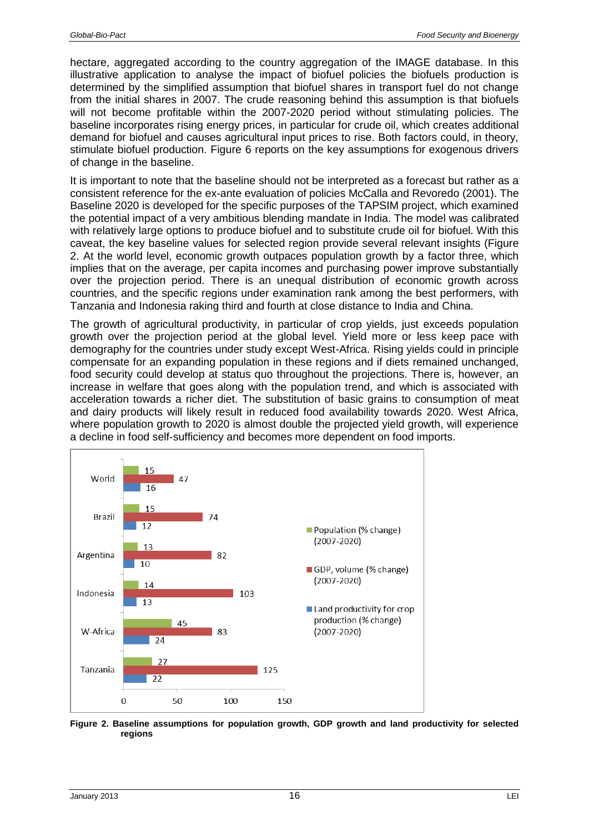hectare, aggregated according to the country aggregation of the IMAGE database. In this illustrative application to analyse the impact of biofuel policies the biofuels production is determined by the simplified assumption that biofuel shares in transport fuel do not change from the initial shares in 2007. The crude reasoning behind this assumption is that biofuels will not become profitable within the 2007-2020 period without stimulating policies. The baseline incorporates rising energy prices, in particular for crude oil, which creates additional demand for biofuel and causes agricultural input prices to rise. Both factors could, in theory, stimulate biofuel production. Figure 6 reports on the key assumptions for exogenous drivers of change in the baseline.

It is important to note that the baseline should not be interpreted as a forecast but rather as a consistent reference for the ex-ante evaluation of policies McCalla and Revoredo (2001). The Baseline 2020 is developed for the specific purposes of the TAPSIM project, which examined the potential impact of a very ambitious blending mandate in India. The model was calibrated with relatively large options to produce biofuel and to substitute crude oil for biofuel. With this caveat, the key baseline values for selected region provide several relevant insights (Figure 2. At the world level, economic growth outpaces population growth by a factor three, which implies that on the average, per capita incomes and purchasing power improve substantially over the projection period. There is an unequal distribution of economic growth across countries, and the specific regions under examination rank among the best performers, with Tanzania and Indonesia raking third and fourth at close distance to India and China.

The growth of agricultural productivity, in particular of crop yields, just exceeds population growth over the projection period at the global level. Yield more or less keep pace with demography for the countries under study except West-Africa. Rising yields could in principle compensate for an expanding population in these regions and if diets remained unchanged, food security could develop at status quo throughout the projections. There is, however, an increase in welfare that goes along with the population trend, and which is associated with acceleration towards a richer diet. The substitution of basic grains to consumption of meat and dairy products will likely result in reduced food availability towards 2020. West Africa, where population growth to 2020 is almost double the projected yield growth, will experience a decline in food self-sufficiency and becomes more dependent on food imports.



**Figure 2. Baseline assumptions for population growth, GDP growth and land productivity for selected regions**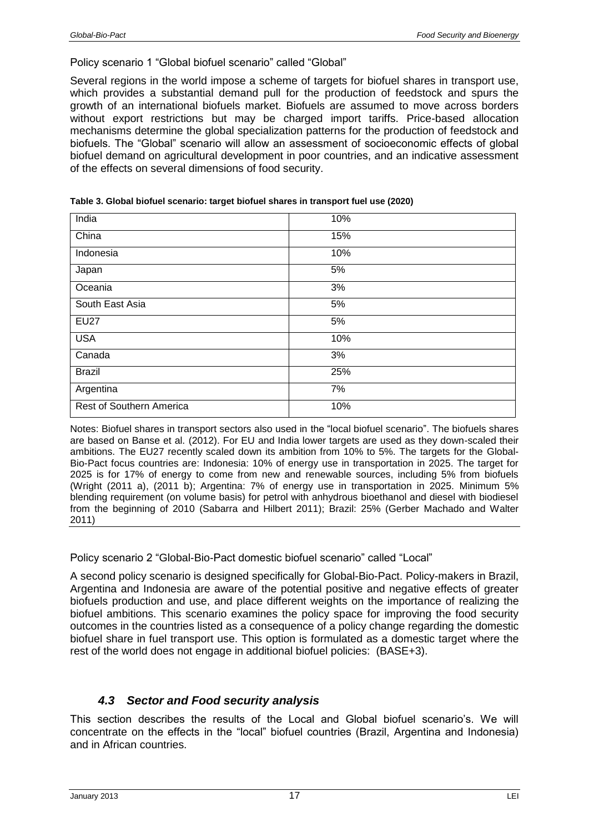#### Policy scenario 1 "Global biofuel scenario" called "Global"

Several regions in the world impose a scheme of targets for biofuel shares in transport use, which provides a substantial demand pull for the production of feedstock and spurs the growth of an international biofuels market. Biofuels are assumed to move across borders without export restrictions but may be charged import tariffs. Price-based allocation mechanisms determine the global specialization patterns for the production of feedstock and biofuels. The "Global" scenario will allow an assessment of socioeconomic effects of global biofuel demand on agricultural development in poor countries, and an indicative assessment of the effects on several dimensions of food security.

| India                    | 10% |
|--------------------------|-----|
| China                    | 15% |
| Indonesia                | 10% |
| Japan                    | 5%  |
| Oceania                  | 3%  |
| South East Asia          | 5%  |
| <b>EU27</b>              | 5%  |
| <b>USA</b>               | 10% |
| Canada                   | 3%  |
| <b>Brazil</b>            | 25% |
| Argentina                | 7%  |
| Rest of Southern America | 10% |

|  | Table 3. Global biofuel scenario: target biofuel shares in transport fuel use (2020) |  |  |
|--|--------------------------------------------------------------------------------------|--|--|
|  |                                                                                      |  |  |

Notes: Biofuel shares in transport sectors also used in the "local biofuel scenario". The biofuels shares are based on Banse et al. (2012). For EU and India lower targets are used as they down-scaled their ambitions. The EU27 recently scaled down its ambition from 10% to 5%. The targets for the Global-Bio-Pact focus countries are: Indonesia: 10% of energy use in transportation in 2025. The target for 2025 is for 17% of energy to come from new and renewable sources, including 5% from biofuels (Wright (2011 a), (2011 b); Argentina: 7% of energy use in transportation in 2025. Minimum 5% blending requirement (on volume basis) for petrol with anhydrous bioethanol and diesel with biodiesel from the beginning of 2010 (Sabarra and Hilbert 2011); Brazil: 25% (Gerber Machado and Walter 2011)

Policy scenario 2 "Global-Bio-Pact domestic biofuel scenario" called "Local"

A second policy scenario is designed specifically for Global-Bio-Pact. Policy-makers in Brazil, Argentina and Indonesia are aware of the potential positive and negative effects of greater biofuels production and use, and place different weights on the importance of realizing the biofuel ambitions. This scenario examines the policy space for improving the food security outcomes in the countries listed as a consequence of a policy change regarding the domestic biofuel share in fuel transport use. This option is formulated as a domestic target where the rest of the world does not engage in additional biofuel policies: (BASE+3).

## <span id="page-16-0"></span>*4.3 Sector and Food security analysis*

This section describes the results of the Local and Global biofuel scenario's. We will concentrate on the effects in the "local" biofuel countries (Brazil, Argentina and Indonesia) and in African countries.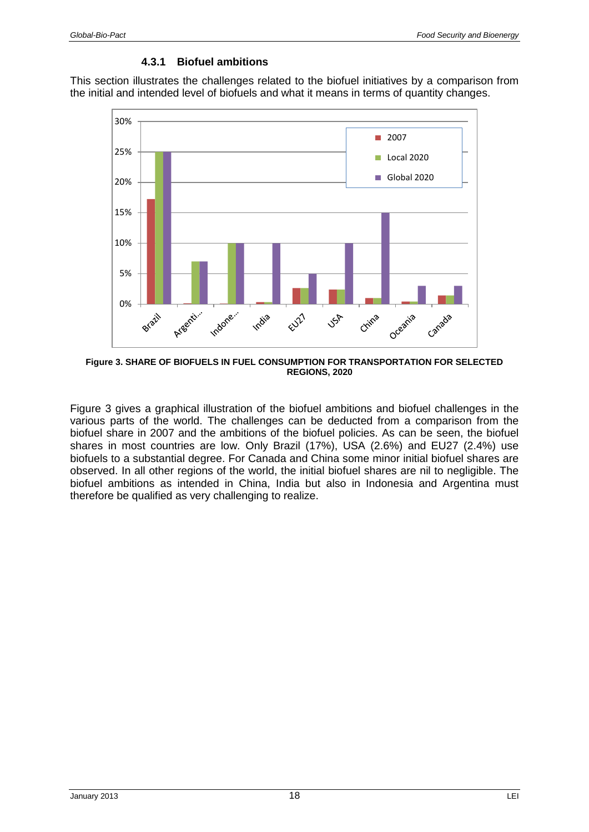#### **4.3.1 Biofuel ambitions**

<span id="page-17-0"></span>This section illustrates the challenges related to the biofuel initiatives by a comparison from the initial and intended level of biofuels and what it means in terms of quantity changes.



**Figure 3. SHARE OF BIOFUELS IN FUEL CONSUMPTION FOR TRANSPORTATION FOR SELECTED REGIONS, 2020**

Figure 3 gives a graphical illustration of the biofuel ambitions and biofuel challenges in the various parts of the world. The challenges can be deducted from a comparison from the biofuel share in 2007 and the ambitions of the biofuel policies. As can be seen, the biofuel shares in most countries are low. Only Brazil (17%), USA (2.6%) and EU27 (2.4%) use biofuels to a substantial degree. For Canada and China some minor initial biofuel shares are observed. In all other regions of the world, the initial biofuel shares are nil to negligible. The biofuel ambitions as intended in China, India but also in Indonesia and Argentina must therefore be qualified as very challenging to realize.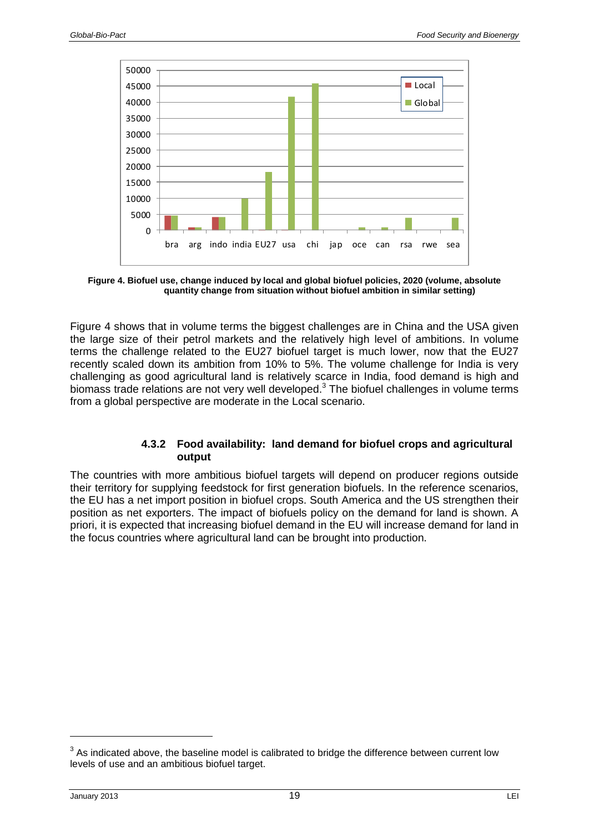

**Figure 4. Biofuel use, change induced by local and global biofuel policies, 2020 (volume, absolute quantity change from situation without biofuel ambition in similar setting)**

Figure 4 shows that in volume terms the biggest challenges are in China and the USA given the large size of their petrol markets and the relatively high level of ambitions. In volume terms the challenge related to the EU27 biofuel target is much lower, now that the EU27 recently scaled down its ambition from 10% to 5%. The volume challenge for India is very challenging as good agricultural land is relatively scarce in India, food demand is high and biomass trade relations are not very well developed.<sup>3</sup> The biofuel challenges in volume terms from a global perspective are moderate in the Local scenario.

### **4.3.2 Food availability: land demand for biofuel crops and agricultural output**

<span id="page-18-0"></span>The countries with more ambitious biofuel targets will depend on producer regions outside their territory for supplying feedstock for first generation biofuels. In the reference scenarios, the EU has a net import position in biofuel crops. South America and the US strengthen their position as net exporters. The impact of biofuels policy on the demand for land is shown. A priori, it is expected that increasing biofuel demand in the EU will increase demand for land in the focus countries where agricultural land can be brought into production.

 $3$  As indicated above, the baseline model is calibrated to bridge the difference between current low levels of use and an ambitious biofuel target.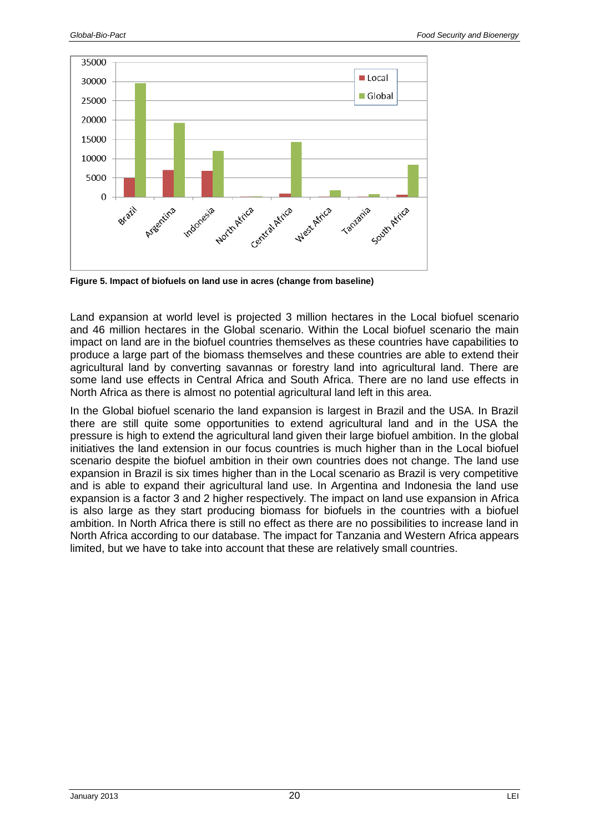

**Figure 5. Impact of biofuels on land use in acres (change from baseline)**

Land expansion at world level is projected 3 million hectares in the Local biofuel scenario and 46 million hectares in the Global scenario. Within the Local biofuel scenario the main impact on land are in the biofuel countries themselves as these countries have capabilities to produce a large part of the biomass themselves and these countries are able to extend their agricultural land by converting savannas or forestry land into agricultural land. There are some land use effects in Central Africa and South Africa. There are no land use effects in North Africa as there is almost no potential agricultural land left in this area.

In the Global biofuel scenario the land expansion is largest in Brazil and the USA. In Brazil there are still quite some opportunities to extend agricultural land and in the USA the pressure is high to extend the agricultural land given their large biofuel ambition. In the global initiatives the land extension in our focus countries is much higher than in the Local biofuel scenario despite the biofuel ambition in their own countries does not change. The land use expansion in Brazil is six times higher than in the Local scenario as Brazil is very competitive and is able to expand their agricultural land use. In Argentina and Indonesia the land use expansion is a factor 3 and 2 higher respectively. The impact on land use expansion in Africa is also large as they start producing biomass for biofuels in the countries with a biofuel ambition. In North Africa there is still no effect as there are no possibilities to increase land in North Africa according to our database. The impact for Tanzania and Western Africa appears limited, but we have to take into account that these are relatively small countries.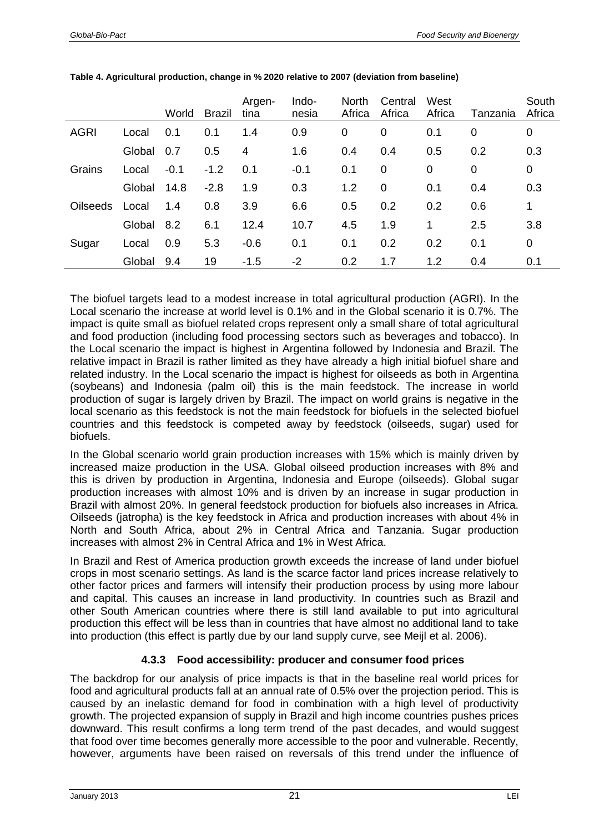|                 |        | World  | <b>Brazil</b> | Argen-<br>tina | Indo-<br>nesia | <b>North</b><br>Africa | Central<br>Africa | West<br>Africa | Tanzania | South<br>Africa |
|-----------------|--------|--------|---------------|----------------|----------------|------------------------|-------------------|----------------|----------|-----------------|
| <b>AGRI</b>     | Local  | 0.1    | 0.1           | 1.4            | 0.9            | 0                      | 0                 | 0.1            | 0        | 0               |
|                 | Global | 0.7    | 0.5           | 4              | 1.6            | 0.4                    | 0.4               | 0.5            | 0.2      | 0.3             |
| Grains          | Local  | $-0.1$ | $-1.2$        | 0.1            | $-0.1$         | 0.1                    | $\mathbf 0$       | 0              | 0        | 0               |
|                 | Global | 14.8   | $-2.8$        | 1.9            | 0.3            | 1.2                    | $\mathbf 0$       | 0.1            | 0.4      | 0.3             |
| <b>Oilseeds</b> | Local  | 1.4    | 0.8           | 3.9            | 6.6            | 0.5                    | 0.2               | 0.2            | 0.6      | 1               |
|                 | Global | 8.2    | 6.1           | 12.4           | 10.7           | 4.5                    | 1.9               | 1              | 2.5      | 3.8             |
| Sugar           | Local  | 0.9    | 5.3           | $-0.6$         | 0.1            | 0.1                    | 0.2               | 0.2            | 0.1      | 0               |
|                 | Global | 9.4    | 19            | $-1.5$         | $-2$           | 0.2                    | 1.7               | 1.2            | 0.4      | 0.1             |

| Table 4. Agricultural production, change in % 2020 relative to 2007 (deviation from baseline) |  |  |  |  |  |  |  |  |  |  |
|-----------------------------------------------------------------------------------------------|--|--|--|--|--|--|--|--|--|--|
|-----------------------------------------------------------------------------------------------|--|--|--|--|--|--|--|--|--|--|

The biofuel targets lead to a modest increase in total agricultural production (AGRI). In the Local scenario the increase at world level is 0.1% and in the Global scenario it is 0.7%. The impact is quite small as biofuel related crops represent only a small share of total agricultural and food production (including food processing sectors such as beverages and tobacco). In the Local scenario the impact is highest in Argentina followed by Indonesia and Brazil. The relative impact in Brazil is rather limited as they have already a high initial biofuel share and related industry. In the Local scenario the impact is highest for oilseeds as both in Argentina (soybeans) and Indonesia (palm oil) this is the main feedstock. The increase in world production of sugar is largely driven by Brazil. The impact on world grains is negative in the local scenario as this feedstock is not the main feedstock for biofuels in the selected biofuel countries and this feedstock is competed away by feedstock (oilseeds, sugar) used for biofuels.

In the Global scenario world grain production increases with 15% which is mainly driven by increased maize production in the USA. Global oilseed production increases with 8% and this is driven by production in Argentina, Indonesia and Europe (oilseeds). Global sugar production increases with almost 10% and is driven by an increase in sugar production in Brazil with almost 20%. In general feedstock production for biofuels also increases in Africa. Oilseeds (jatropha) is the key feedstock in Africa and production increases with about 4% in North and South Africa, about 2% in Central Africa and Tanzania. Sugar production increases with almost 2% in Central Africa and 1% in West Africa.

In Brazil and Rest of America production growth exceeds the increase of land under biofuel crops in most scenario settings. As land is the scarce factor land prices increase relatively to other factor prices and farmers will intensify their production process by using more labour and capital. This causes an increase in land productivity. In countries such as Brazil and other South American countries where there is still land available to put into agricultural production this effect will be less than in countries that have almost no additional land to take into production (this effect is partly due by our land supply curve, see Meijl et al. 2006).

## **4.3.3 Food accessibility: producer and consumer food prices**

<span id="page-20-0"></span>The backdrop for our analysis of price impacts is that in the baseline real world prices for food and agricultural products fall at an annual rate of 0.5% over the projection period. This is caused by an inelastic demand for food in combination with a high level of productivity growth. The projected expansion of supply in Brazil and high income countries pushes prices downward. This result confirms a long term trend of the past decades, and would suggest that food over time becomes generally more accessible to the poor and vulnerable. Recently, however, arguments have been raised on reversals of this trend under the influence of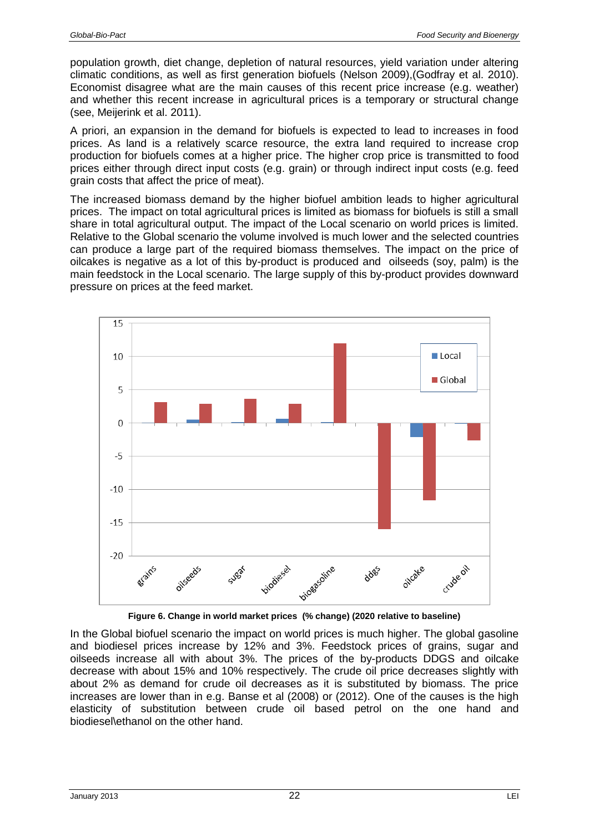population growth, diet change, depletion of natural resources, yield variation under altering climatic conditions, as well as first generation biofuels (Nelson 2009),(Godfray et al. 2010). Economist disagree what are the main causes of this recent price increase (e.g. weather) and whether this recent increase in agricultural prices is a temporary or structural change (see, Meijerink et al. 2011).

A priori, an expansion in the demand for biofuels is expected to lead to increases in food prices. As land is a relatively scarce resource, the extra land required to increase crop production for biofuels comes at a higher price. The higher crop price is transmitted to food prices either through direct input costs (e.g. grain) or through indirect input costs (e.g. feed grain costs that affect the price of meat).

The increased biomass demand by the higher biofuel ambition leads to higher agricultural prices. The impact on total agricultural prices is limited as biomass for biofuels is still a small share in total agricultural output. The impact of the Local scenario on world prices is limited. Relative to the Global scenario the volume involved is much lower and the selected countries can produce a large part of the required biomass themselves. The impact on the price of oilcakes is negative as a lot of this by-product is produced and oilseeds (soy, palm) is the main feedstock in the Local scenario. The large supply of this by-product provides downward pressure on prices at the feed market.



**Figure 6. Change in world market prices (% change) (2020 relative to baseline)**

In the Global biofuel scenario the impact on world prices is much higher. The global gasoline and biodiesel prices increase by 12% and 3%. Feedstock prices of grains, sugar and oilseeds increase all with about 3%. The prices of the by-products DDGS and oilcake decrease with about 15% and 10% respectively. The crude oil price decreases slightly with about 2% as demand for crude oil decreases as it is substituted by biomass. The price increases are lower than in e.g. Banse et al (2008) or (2012). One of the causes is the high elasticity of substitution between crude oil based petrol on the one hand and biodiesel\ethanol on the other hand.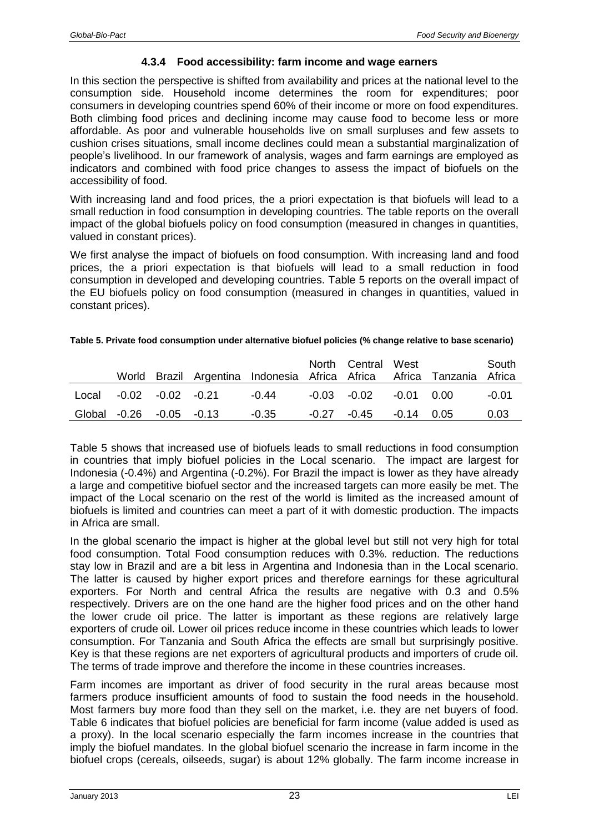### **4.3.4 Food accessibility: farm income and wage earners**

<span id="page-22-0"></span>In this section the perspective is shifted from availability and prices at the national level to the consumption side. Household income determines the room for expenditures; poor consumers in developing countries spend 60% of their income or more on food expenditures. Both climbing food prices and declining income may cause food to become less or more affordable. As poor and vulnerable households live on small surpluses and few assets to cushion crises situations, small income declines could mean a substantial marginalization of people's livelihood. In our framework of analysis, wages and farm earnings are employed as indicators and combined with food price changes to assess the impact of biofuels on the accessibility of food.

With increasing land and food prices, the a priori expectation is that biofuels will lead to a small reduction in food consumption in developing countries. The table reports on the overall impact of the global biofuels policy on food consumption (measured in changes in quantities, valued in constant prices).

We first analyse the impact of biofuels on food consumption. With increasing land and food prices, the a priori expectation is that biofuels will lead to a small reduction in food consumption in developed and developing countries. Table 5 reports on the overall impact of the EU biofuels policy on food consumption (measured in changes in quantities, valued in constant prices).

|                          |                           |  | World Brazil Argentina Indonesia Africa Africa Africa Tanzania Africa | North Central West |              | South   |
|--------------------------|---------------------------|--|-----------------------------------------------------------------------|--------------------|--------------|---------|
|                          | $Local -0.02 -0.02 -0.21$ |  | $-0.44$                                                               | -0.03 -0.02        | $-0.01$ 0.00 | $-0.01$ |
| Global -0.26 -0.05 -0.13 |                           |  | $-0.35$                                                               | -0.27 -0.45        | $-0.14$ 0.05 | 0.03    |

#### **Table 5. Private food consumption under alternative biofuel policies (% change relative to base scenario)**

Table 5 shows that increased use of biofuels leads to small reductions in food consumption in countries that imply biofuel policies in the Local scenario. The impact are largest for Indonesia (-0.4%) and Argentina (-0.2%). For Brazil the impact is lower as they have already a large and competitive biofuel sector and the increased targets can more easily be met. The impact of the Local scenario on the rest of the world is limited as the increased amount of biofuels is limited and countries can meet a part of it with domestic production. The impacts in Africa are small.

In the global scenario the impact is higher at the global level but still not very high for total food consumption. Total Food consumption reduces with 0.3%. reduction. The reductions stay low in Brazil and are a bit less in Argentina and Indonesia than in the Local scenario. The latter is caused by higher export prices and therefore earnings for these agricultural exporters. For North and central Africa the results are negative with 0.3 and 0.5% respectively. Drivers are on the one hand are the higher food prices and on the other hand the lower crude oil price. The latter is important as these regions are relatively large exporters of crude oil. Lower oil prices reduce income in these countries which leads to lower consumption. For Tanzania and South Africa the effects are small but surprisingly positive. Key is that these regions are net exporters of agricultural products and importers of crude oil. The terms of trade improve and therefore the income in these countries increases.

Farm incomes are important as driver of food security in the rural areas because most farmers produce insufficient amounts of food to sustain the food needs in the household. Most farmers buy more food than they sell on the market, i.e. they are net buyers of food. Table 6 indicates that biofuel policies are beneficial for farm income (value added is used as a proxy). In the local scenario especially the farm incomes increase in the countries that imply the biofuel mandates. In the global biofuel scenario the increase in farm income in the biofuel crops (cereals, oilseeds, sugar) is about 12% globally. The farm income increase in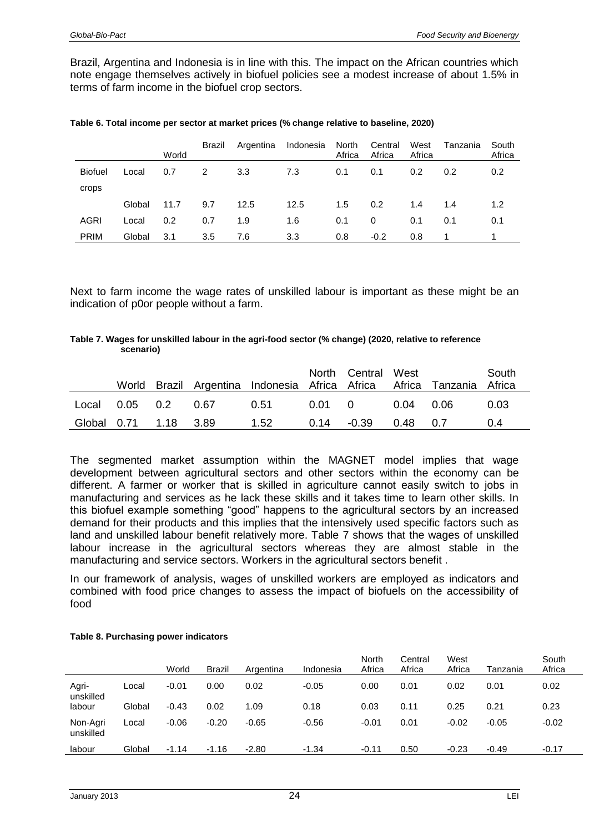Brazil, Argentina and Indonesia is in line with this. The impact on the African countries which note engage themselves actively in biofuel policies see a modest increase of about 1.5% in terms of farm income in the biofuel crop sectors.

|                |        | World | Brazil | Argentina | Indonesia | North<br>Africa | Central<br>Africa | West<br>Africa | Tanzania | South<br>Africa |
|----------------|--------|-------|--------|-----------|-----------|-----------------|-------------------|----------------|----------|-----------------|
| <b>Biofuel</b> | Local  | 0.7   | 2      | 3.3       | 7.3       | 0.1             | 0.1               | 0.2            | 0.2      | 0.2             |
| crops          |        |       |        |           |           |                 |                   |                |          |                 |
|                | Global | 11.7  | 9.7    | 12.5      | 12.5      | 1.5             | 0.2               | 1.4            | 1.4      | 1.2             |
| AGRI           | Local  | 0.2   | 0.7    | 1.9       | 1.6       | 0.1             | 0                 | 0.1            | 0.1      | 0.1             |
| <b>PRIM</b>    | Global | 3.1   | 3.5    | 7.6       | 3.3       | 0.8             | $-0.2$            | 0.8            |          |                 |

|  |  |  | Table 6. Total income per sector at market prices (% change relative to baseline, 2020) |
|--|--|--|-----------------------------------------------------------------------------------------|
|--|--|--|-----------------------------------------------------------------------------------------|

Next to farm income the wage rates of unskilled labour is important as these might be an indication of p0or people without a farm.

#### **Table 7. Wages for unskilled labour in the agri-food sector (% change) (2020, relative to reference scenario)**

|                       |  | World Brazil Argentina Indonesia Africa Africa Africa Tanzania Africa | North Central West                   |          | South |
|-----------------------|--|-----------------------------------------------------------------------|--------------------------------------|----------|-------|
| Local 0.05 0.2 0.67   |  | 0.51                                                                  | $0.01 \quad 0 \quad 0.04 \quad 0.06$ |          | 0.03  |
| Global 0.71 1.18 3.89 |  | 1.52                                                                  | $0.14 - 0.39$                        | 0.48 0.7 | 0.4   |

The segmented market assumption within the MAGNET model implies that wage development between agricultural sectors and other sectors within the economy can be different. A farmer or worker that is skilled in agriculture cannot easily switch to jobs in manufacturing and services as he lack these skills and it takes time to learn other skills. In this biofuel example something "good" happens to the agricultural sectors by an increased demand for their products and this implies that the intensively used specific factors such as land and unskilled labour benefit relatively more. Table 7 shows that the wages of unskilled labour increase in the agricultural sectors whereas they are almost stable in the manufacturing and service sectors. Workers in the agricultural sectors benefit .

In our framework of analysis, wages of unskilled workers are employed as indicators and combined with food price changes to assess the impact of biofuels on the accessibility of food

|                       |        | World   | Brazil  | Argentina | Indonesia | North<br>Africa | Central<br>Africa | West<br>Africa | Tanzania | South<br>Africa |
|-----------------------|--------|---------|---------|-----------|-----------|-----------------|-------------------|----------------|----------|-----------------|
| Agri-<br>unskilled    | Local  | $-0.01$ | 0.00    | 0.02      | $-0.05$   | 0.00            | 0.01              | 0.02           | 0.01     | 0.02            |
| labour                | Global | $-0.43$ | 0.02    | 1.09      | 0.18      | 0.03            | 0.11              | 0.25           | 0.21     | 0.23            |
| Non-Agri<br>unskilled | Local  | $-0.06$ | $-0.20$ | $-0.65$   | $-0.56$   | $-0.01$         | 0.01              | $-0.02$        | $-0.05$  | $-0.02$         |
| labour                | Global | $-1.14$ | $-1.16$ | $-2.80$   | $-1.34$   | $-0.11$         | 0.50              | $-0.23$        | $-0.49$  | $-0.17$         |

#### **Table 8. Purchasing power indicators**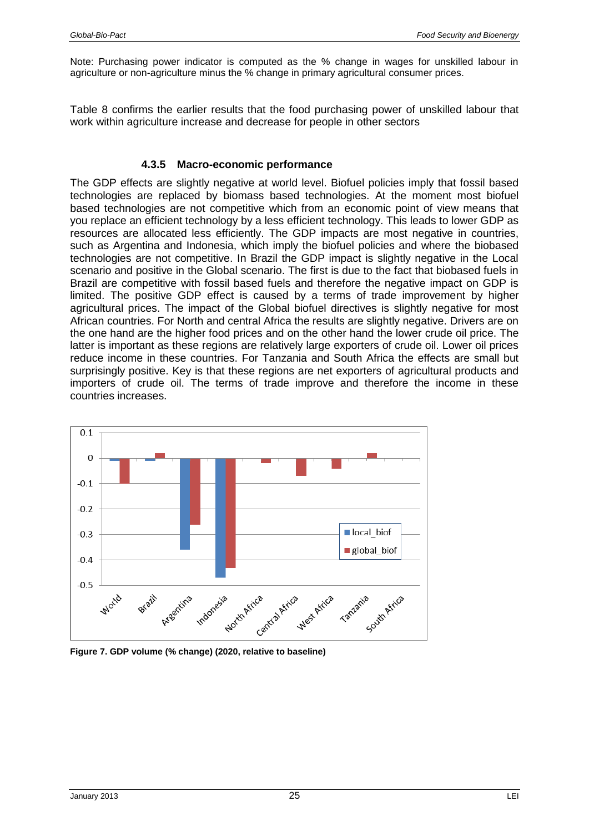Note: Purchasing power indicator is computed as the % change in wages for unskilled labour in agriculture or non-agriculture minus the % change in primary agricultural consumer prices.

Table 8 confirms the earlier results that the food purchasing power of unskilled labour that work within agriculture increase and decrease for people in other sectors

#### **4.3.5 Macro-economic performance**

<span id="page-24-0"></span>The GDP effects are slightly negative at world level. Biofuel policies imply that fossil based technologies are replaced by biomass based technologies. At the moment most biofuel based technologies are not competitive which from an economic point of view means that you replace an efficient technology by a less efficient technology. This leads to lower GDP as resources are allocated less efficiently. The GDP impacts are most negative in countries, such as Argentina and Indonesia, which imply the biofuel policies and where the biobased technologies are not competitive. In Brazil the GDP impact is slightly negative in the Local scenario and positive in the Global scenario. The first is due to the fact that biobased fuels in Brazil are competitive with fossil based fuels and therefore the negative impact on GDP is limited. The positive GDP effect is caused by a terms of trade improvement by higher agricultural prices. The impact of the Global biofuel directives is slightly negative for most African countries. For North and central Africa the results are slightly negative. Drivers are on the one hand are the higher food prices and on the other hand the lower crude oil price. The latter is important as these regions are relatively large exporters of crude oil. Lower oil prices reduce income in these countries. For Tanzania and South Africa the effects are small but surprisingly positive. Key is that these regions are net exporters of agricultural products and importers of crude oil. The terms of trade improve and therefore the income in these countries increases.



**Figure 7. GDP volume (% change) (2020, relative to baseline)**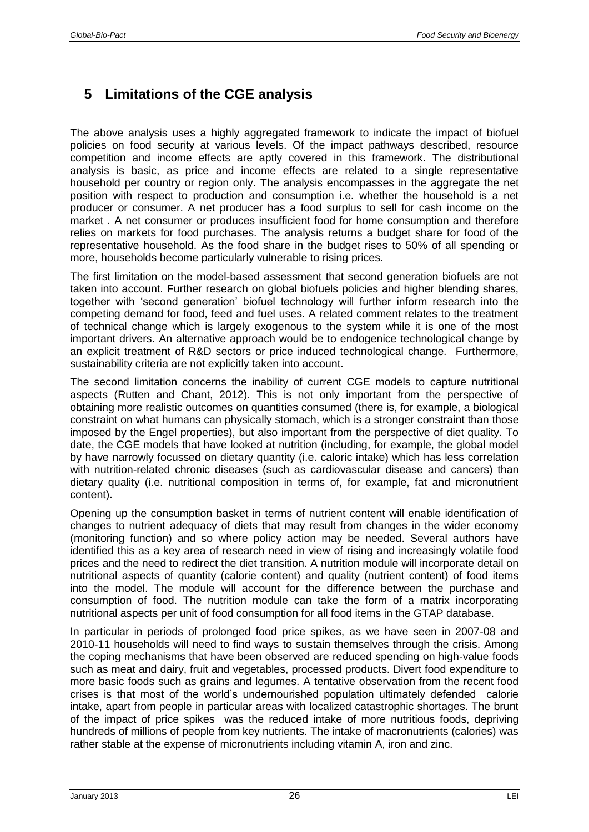# <span id="page-25-0"></span>**5 Limitations of the CGE analysis**

The above analysis uses a highly aggregated framework to indicate the impact of biofuel policies on food security at various levels. Of the impact pathways described, resource competition and income effects are aptly covered in this framework. The distributional analysis is basic, as price and income effects are related to a single representative household per country or region only. The analysis encompasses in the aggregate the net position with respect to production and consumption i.e. whether the household is a net producer or consumer. A net producer has a food surplus to sell for cash income on the market . A net consumer or produces insufficient food for home consumption and therefore relies on markets for food purchases. The analysis returns a budget share for food of the representative household. As the food share in the budget rises to 50% of all spending or more, households become particularly vulnerable to rising prices.

The first limitation on the model-based assessment that second generation biofuels are not taken into account. Further research on global biofuels policies and higher blending shares, together with 'second generation' biofuel technology will further inform research into the competing demand for food, feed and fuel uses. A related comment relates to the treatment of technical change which is largely exogenous to the system while it is one of the most important drivers. An alternative approach would be to endogenice technological change by an explicit treatment of R&D sectors or price induced technological change. Furthermore, sustainability criteria are not explicitly taken into account.

The second limitation concerns the inability of current CGE models to capture nutritional aspects (Rutten and Chant, 2012). This is not only important from the perspective of obtaining more realistic outcomes on quantities consumed (there is, for example, a biological constraint on what humans can physically stomach, which is a stronger constraint than those imposed by the Engel properties), but also important from the perspective of diet quality. To date, the CGE models that have looked at nutrition (including, for example, the global model by have narrowly focussed on dietary quantity (i.e. caloric intake) which has less correlation with nutrition-related chronic diseases (such as cardiovascular disease and cancers) than dietary quality (i.e. nutritional composition in terms of, for example, fat and micronutrient content).

Opening up the consumption basket in terms of nutrient content will enable identification of changes to nutrient adequacy of diets that may result from changes in the wider economy (monitoring function) and so where policy action may be needed. Several authors have identified this as a key area of research need in view of rising and increasingly volatile food prices and the need to redirect the diet transition. A nutrition module will incorporate detail on nutritional aspects of quantity (calorie content) and quality (nutrient content) of food items into the model. The module will account for the difference between the purchase and consumption of food. The nutrition module can take the form of a matrix incorporating nutritional aspects per unit of food consumption for all food items in the GTAP database.

In particular in periods of prolonged food price spikes, as we have seen in 2007-08 and 2010-11 households will need to find ways to sustain themselves through the crisis. Among the coping mechanisms that have been observed are reduced spending on high-value foods such as meat and dairy, fruit and vegetables, processed products. Divert food expenditure to more basic foods such as grains and legumes. A tentative observation from the recent food crises is that most of the world's undernourished population ultimately defended calorie intake, apart from people in particular areas with localized catastrophic shortages. The brunt of the impact of price spikes was the reduced intake of more nutritious foods, depriving hundreds of millions of people from key nutrients. The intake of macronutrients (calories) was rather stable at the expense of micronutrients including vitamin A, iron and zinc.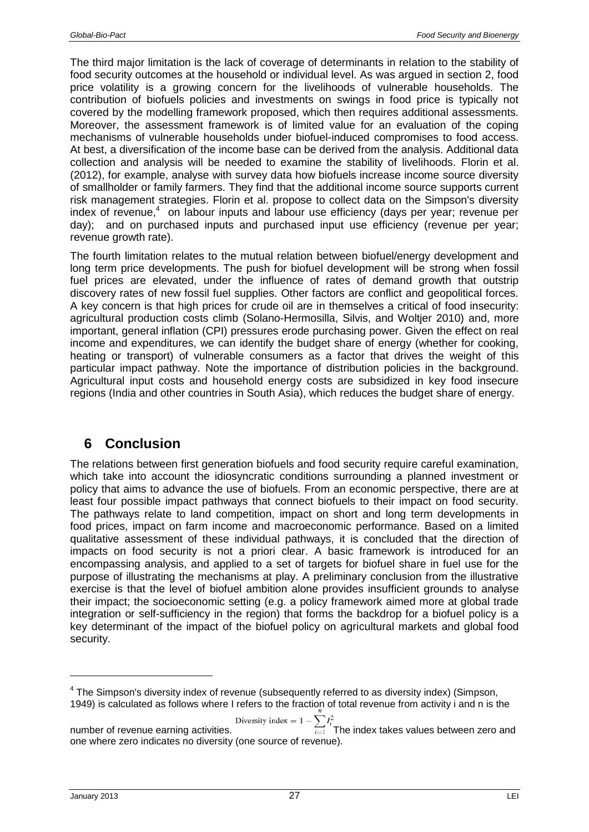The third major limitation is the lack of coverage of determinants in relation to the stability of food security outcomes at the household or individual level. As was argued in section 2, food price volatility is a growing concern for the livelihoods of vulnerable households. The contribution of biofuels policies and investments on swings in food price is typically not covered by the modelling framework proposed, which then requires additional assessments. Moreover, the assessment framework is of limited value for an evaluation of the coping mechanisms of vulnerable households under biofuel-induced compromises to food access. At best, a diversification of the income base can be derived from the analysis. Additional data collection and analysis will be needed to examine the stability of livelihoods. Florin et al. (2012), for example, analyse with survey data how biofuels increase income source diversity of smallholder or family farmers. They find that the additional income source supports current risk management strategies. Florin et al. propose to collect data on the Simpson's diversity index of revenue,<sup>4</sup> on labour inputs and labour use efficiency (days per year; revenue per day); and on purchased inputs and purchased input use efficiency (revenue per year; revenue growth rate).

The fourth limitation relates to the mutual relation between biofuel/energy development and long term price developments. The push for biofuel development will be strong when fossil fuel prices are elevated, under the influence of rates of demand growth that outstrip discovery rates of new fossil fuel supplies. Other factors are conflict and geopolitical forces. A key concern is that high prices for crude oil are in themselves a critical of food insecurity: agricultural production costs climb (Solano-Hermosilla, Silvis, and Woltjer 2010) and, more important, general inflation (CPI) pressures erode purchasing power. Given the effect on real income and expenditures, we can identify the budget share of energy (whether for cooking, heating or transport) of vulnerable consumers as a factor that drives the weight of this particular impact pathway. Note the importance of distribution policies in the background. Agricultural input costs and household energy costs are subsidized in key food insecure regions (India and other countries in South Asia), which reduces the budget share of energy.

# <span id="page-26-0"></span>**6 Conclusion**

The relations between first generation biofuels and food security require careful examination, which take into account the idiosyncratic conditions surrounding a planned investment or policy that aims to advance the use of biofuels. From an economic perspective, there are at least four possible impact pathways that connect biofuels to their impact on food security. The pathways relate to land competition, impact on short and long term developments in food prices, impact on farm income and macroeconomic performance. Based on a limited qualitative assessment of these individual pathways, it is concluded that the direction of impacts on food security is not a priori clear. A basic framework is introduced for an encompassing analysis, and applied to a set of targets for biofuel share in fuel use for the purpose of illustrating the mechanisms at play. A preliminary conclusion from the illustrative exercise is that the level of biofuel ambition alone provides insufficient grounds to analyse their impact; the socioeconomic setting (e.g. a policy framework aimed more at global trade integration or self-sufficiency in the region) that forms the backdrop for a biofuel policy is a key determinant of the impact of the biofuel policy on agricultural markets and global food security.

Diversity index = 
$$
1 - \sum_{i=1}^{n} I_i^2
$$

<sup>&</sup>lt;sup>4</sup> The Simpson's diversity index of revenue (subsequently referred to as diversity index) (Simpson, 1949) is calculated as follows where I refers to the fraction of total revenue from activity i and n is the

number of revenue earning activities. The index takes values between zero and one where zero indicates no diversity (one source of revenue).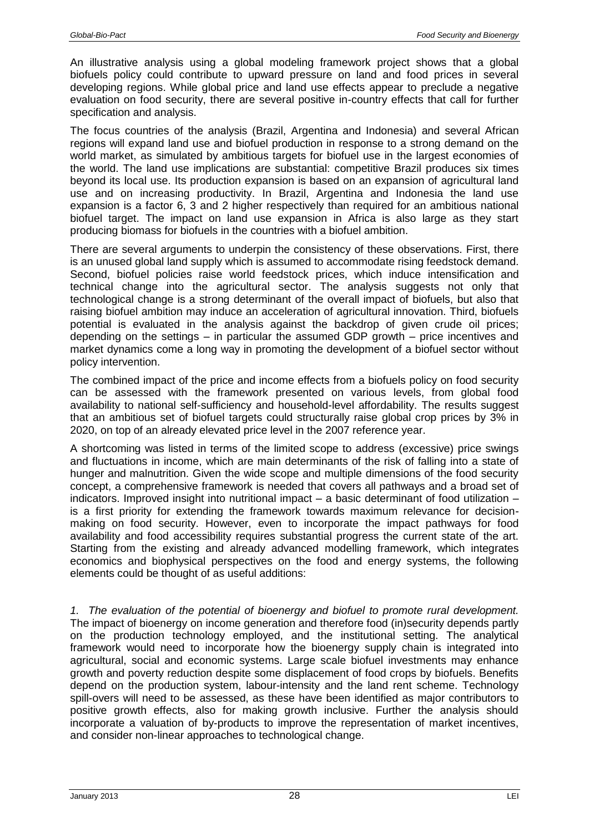An illustrative analysis using a global modeling framework project shows that a global biofuels policy could contribute to upward pressure on land and food prices in several developing regions. While global price and land use effects appear to preclude a negative evaluation on food security, there are several positive in-country effects that call for further specification and analysis.

The focus countries of the analysis (Brazil, Argentina and Indonesia) and several African regions will expand land use and biofuel production in response to a strong demand on the world market, as simulated by ambitious targets for biofuel use in the largest economies of the world. The land use implications are substantial: competitive Brazil produces six times beyond its local use. Its production expansion is based on an expansion of agricultural land use and on increasing productivity. In Brazil, Argentina and Indonesia the land use expansion is a factor 6, 3 and 2 higher respectively than required for an ambitious national biofuel target. The impact on land use expansion in Africa is also large as they start producing biomass for biofuels in the countries with a biofuel ambition.

There are several arguments to underpin the consistency of these observations. First, there is an unused global land supply which is assumed to accommodate rising feedstock demand. Second, biofuel policies raise world feedstock prices, which induce intensification and technical change into the agricultural sector. The analysis suggests not only that technological change is a strong determinant of the overall impact of biofuels, but also that raising biofuel ambition may induce an acceleration of agricultural innovation. Third, biofuels potential is evaluated in the analysis against the backdrop of given crude oil prices; depending on the settings – in particular the assumed GDP growth – price incentives and market dynamics come a long way in promoting the development of a biofuel sector without policy intervention.

The combined impact of the price and income effects from a biofuels policy on food security can be assessed with the framework presented on various levels, from global food availability to national self-sufficiency and household-level affordability. The results suggest that an ambitious set of biofuel targets could structurally raise global crop prices by 3% in 2020, on top of an already elevated price level in the 2007 reference year.

A shortcoming was listed in terms of the limited scope to address (excessive) price swings and fluctuations in income, which are main determinants of the risk of falling into a state of hunger and malnutrition. Given the wide scope and multiple dimensions of the food security concept, a comprehensive framework is needed that covers all pathways and a broad set of indicators. Improved insight into nutritional impact – a basic determinant of food utilization – is a first priority for extending the framework towards maximum relevance for decisionmaking on food security. However, even to incorporate the impact pathways for food availability and food accessibility requires substantial progress the current state of the art. Starting from the existing and already advanced modelling framework, which integrates economics and biophysical perspectives on the food and energy systems, the following elements could be thought of as useful additions:

*1. The evaluation of the potential of bioenergy and biofuel to promote rural development.* The impact of bioenergy on income generation and therefore food (in)security depends partly on the production technology employed, and the institutional setting. The analytical framework would need to incorporate how the bioenergy supply chain is integrated into agricultural, social and economic systems. Large scale biofuel investments may enhance growth and poverty reduction despite some displacement of food crops by biofuels. Benefits depend on the production system, labour-intensity and the land rent scheme. Technology spill-overs will need to be assessed, as these have been identified as major contributors to positive growth effects, also for making growth inclusive. Further the analysis should incorporate a valuation of by-products to improve the representation of market incentives, and consider non-linear approaches to technological change.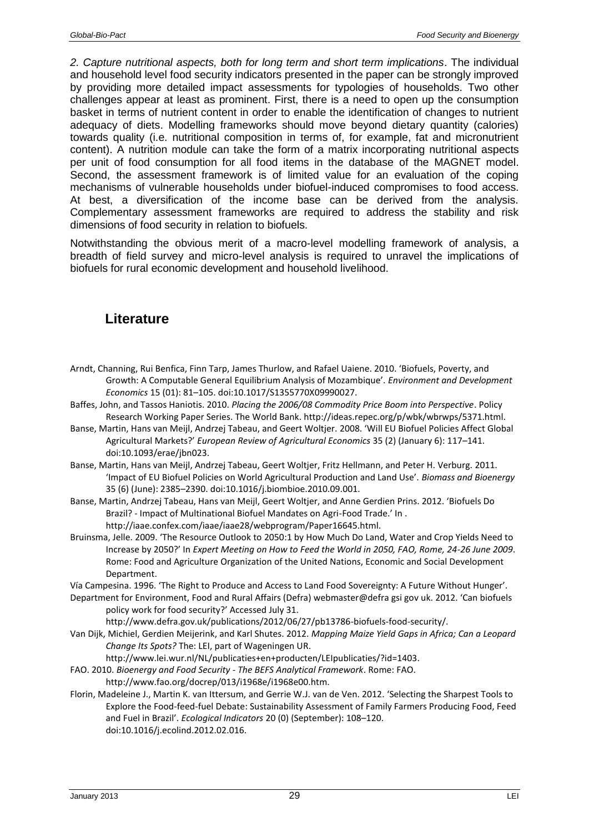*2. Capture nutritional aspects, both for long term and short term implications*. The individual and household level food security indicators presented in the paper can be strongly improved by providing more detailed impact assessments for typologies of households. Two other challenges appear at least as prominent. First, there is a need to open up the consumption basket in terms of nutrient content in order to enable the identification of changes to nutrient adequacy of diets. Modelling frameworks should move beyond dietary quantity (calories) towards quality (i.e. nutritional composition in terms of, for example, fat and micronutrient content). A nutrition module can take the form of a matrix incorporating nutritional aspects per unit of food consumption for all food items in the database of the MAGNET model. Second, the assessment framework is of limited value for an evaluation of the coping mechanisms of vulnerable households under biofuel-induced compromises to food access. At best, a diversification of the income base can be derived from the analysis. Complementary assessment frameworks are required to address the stability and risk dimensions of food security in relation to biofuels.

Notwithstanding the obvious merit of a macro-level modelling framework of analysis, a breadth of field survey and micro-level analysis is required to unravel the implications of biofuels for rural economic development and household livelihood.

## <span id="page-28-0"></span>**Literature**

- Arndt, Channing, Rui Benfica, Finn Tarp, James Thurlow, and Rafael Uaiene. 2010. 'Biofuels, Poverty, and Growth: A Computable General Equilibrium Analysis of Mozambique'. *Environment and Development Economics* 15 (01): 81–105. doi:10.1017/S1355770X09990027.
- Baffes, John, and Tassos Haniotis. 2010. *Placing the 2006/08 Commodity Price Boom into Perspective*. Policy Research Working Paper Series. The World Bank. http://ideas.repec.org/p/wbk/wbrwps/5371.html.
- Banse, Martin, Hans van Meijl, Andrzej Tabeau, and Geert Woltjer. 2008. 'Will EU Biofuel Policies Affect Global Agricultural Markets?' *European Review of Agricultural Economics* 35 (2) (January 6): 117–141. doi:10.1093/erae/jbn023.
- Banse, Martin, Hans van Meijl, Andrzej Tabeau, Geert Woltjer, Fritz Hellmann, and Peter H. Verburg. 2011. 'Impact of EU Biofuel Policies on World Agricultural Production and Land Use'. *Biomass and Bioenergy* 35 (6) (June): 2385–2390. doi:10.1016/j.biombioe.2010.09.001.
- Banse, Martin, Andrzej Tabeau, Hans van Meijl, Geert Woltjer, and Anne Gerdien Prins. 2012. 'Biofuels Do Brazil? - Impact of Multinational Biofuel Mandates on Agri-Food Trade.' In . http://iaae.confex.com/iaae/iaae28/webprogram/Paper16645.html.
- Bruinsma, Jelle. 2009. 'The Resource Outlook to 2050:1 by How Much Do Land, Water and Crop Yields Need to Increase by 2050?' In *Expert Meeting on How to Feed the World in 2050, FAO, Rome, 24-26 June 2009*. Rome: Food and Agriculture Organization of the United Nations, Economic and Social Development Department.

Vía Campesina. 1996. 'The Right to Produce and Access to Land Food Sovereignty: A Future Without Hunger'.

Department for Environment, Food and Rural Affairs (Defra) webmaster@defra gsi gov uk. 2012. 'Can biofuels policy work for food security?' Accessed July 31.

http://www.defra.gov.uk/publications/2012/06/27/pb13786-biofuels-food-security/.

- Van Dijk, Michiel, Gerdien Meijerink, and Karl Shutes. 2012. *Mapping Maize Yield Gaps in Africa; Can a Leopard Change Its Spots?* The: LEI, part of Wageningen UR.
	- http://www.lei.wur.nl/NL/publicaties+en+producten/LEIpublicaties/?id=1403.
- FAO. 2010. *Bioenergy and Food Security - The BEFS Analytical Framework*. Rome: FAO. http://www.fao.org/docrep/013/i1968e/i1968e00.htm.
- Florin, Madeleine J., Martin K. van Ittersum, and Gerrie W.J. van de Ven. 2012. 'Selecting the Sharpest Tools to Explore the Food-feed-fuel Debate: Sustainability Assessment of Family Farmers Producing Food, Feed and Fuel in Brazil'. *Ecological Indicators* 20 (0) (September): 108–120. doi:10.1016/j.ecolind.2012.02.016.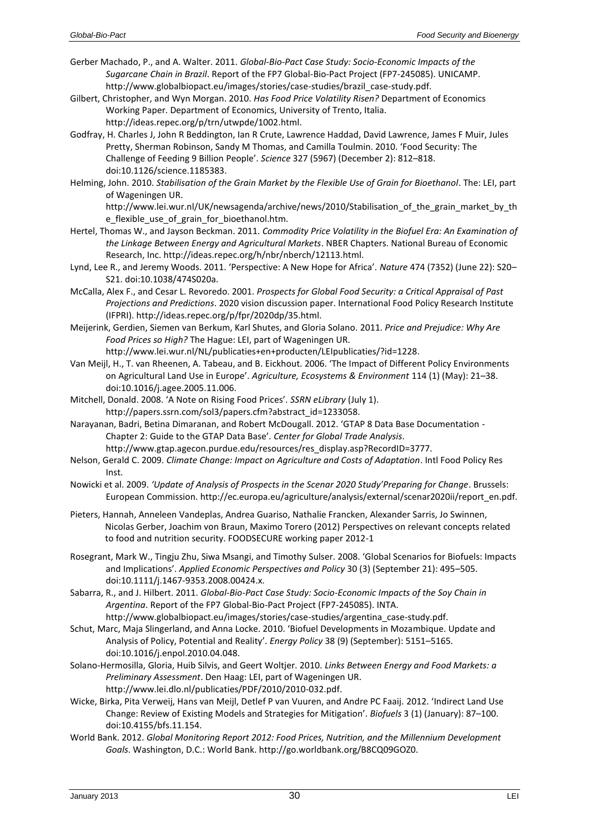Gerber Machado, P., and A. Walter. 2011. *Global-Bio-Pact Case Study: Socio-Economic Impacts of the Sugarcane Chain in Brazil*. Report of the FP7 Global-Bio-Pact Project (FP7-245085). UNICAMP. http://www.globalbiopact.eu/images/stories/case-studies/brazil\_case-study.pdf.

Gilbert, Christopher, and Wyn Morgan. 2010. *Has Food Price Volatility Risen?* Department of Economics Working Paper. Department of Economics, University of Trento, Italia. http://ideas.repec.org/p/trn/utwpde/1002.html.

- Godfray, H. Charles J, John R Beddington, Ian R Crute, Lawrence Haddad, David Lawrence, James F Muir, Jules Pretty, Sherman Robinson, Sandy M Thomas, and Camilla Toulmin. 2010. 'Food Security: The Challenge of Feeding 9 Billion People'. *Science* 327 (5967) (December 2): 812–818. doi:10.1126/science.1185383.
- Helming, John. 2010. *Stabilisation of the Grain Market by the Flexible Use of Grain for Bioethanol*. The: LEI, part of Wageningen UR.

http://www.lei.wur.nl/UK/newsagenda/archive/news/2010/Stabilisation\_of\_the\_grain\_market\_by\_th e flexible use of grain for bioethanol.htm.

- Hertel, Thomas W., and Jayson Beckman. 2011. *Commodity Price Volatility in the Biofuel Era: An Examination of the Linkage Between Energy and Agricultural Markets*. NBER Chapters. National Bureau of Economic Research, Inc. http://ideas.repec.org/h/nbr/nberch/12113.html.
- Lynd, Lee R., and Jeremy Woods. 2011. 'Perspective: A New Hope for Africa'. *Nature* 474 (7352) (June 22): S20– S21. doi:10.1038/474S020a.
- McCalla, Alex F., and Cesar L. Revoredo. 2001. *Prospects for Global Food Security: a Critical Appraisal of Past Projections and Predictions*. 2020 vision discussion paper. International Food Policy Research Institute (IFPRI). http://ideas.repec.org/p/fpr/2020dp/35.html.
- Meijerink, Gerdien, Siemen van Berkum, Karl Shutes, and Gloria Solano. 2011. *Price and Prejudice: Why Are Food Prices so High?* The Hague: LEI, part of Wageningen UR.

http://www.lei.wur.nl/NL/publicaties+en+producten/LEIpublicaties/?id=1228. Van Meijl, H., T. van Rheenen, A. Tabeau, and B. Eickhout. 2006. 'The Impact of Different Policy Environments

on Agricultural Land Use in Europe'. *Agriculture, Ecosystems & Environment* 114 (1) (May): 21–38. doi:10.1016/j.agee.2005.11.006.

- Mitchell, Donald. 2008. 'A Note on Rising Food Prices'. *SSRN eLibrary* (July 1). http://papers.ssrn.com/sol3/papers.cfm?abstract\_id=1233058.
- Narayanan, Badri, Betina Dimaranan, and Robert McDougall. 2012. 'GTAP 8 Data Base Documentation Chapter 2: Guide to the GTAP Data Base'. *Center for Global Trade Analysis*.
	- http://www.gtap.agecon.purdue.edu/resources/res\_display.asp?RecordID=3777.
- Nelson, Gerald C. 2009. *Climate Change: Impact on Agriculture and Costs of Adaptation*. Intl Food Policy Res Inst.
- Nowicki et al. 2009. *'Update of Analysis of Prospects in the Scenar 2020 Study'Preparing for Change*. Brussels: European Commission. http://ec.europa.eu/agriculture/analysis/external/scenar2020ii/report\_en.pdf.
- Pieters, Hannah, Anneleen Vandeplas, Andrea Guariso, Nathalie Francken, Alexander Sarris, Jo Swinnen, Nicolas Gerber, Joachim von Braun, Maximo Torero (2012) Perspectives on relevant concepts related to food and nutrition security. FOODSECURE working paper 2012-1
- Rosegrant, Mark W., Tingju Zhu, Siwa Msangi, and Timothy Sulser. 2008. 'Global Scenarios for Biofuels: Impacts and Implications'. *Applied Economic Perspectives and Policy* 30 (3) (September 21): 495–505. doi:10.1111/j.1467-9353.2008.00424.x.
- Sabarra, R., and J. Hilbert. 2011. *Global-Bio-Pact Case Study: Socio-Economic Impacts of the Soy Chain in Argentina*. Report of the FP7 Global-Bio-Pact Project (FP7-245085). INTA.
- http://www.globalbiopact.eu/images/stories/case-studies/argentina\_case-study.pdf. Schut, Marc, Maja Slingerland, and Anna Locke. 2010. 'Biofuel Developments in Mozambique. Update and Analysis of Policy, Potential and Reality'. *Energy Policy* 38 (9) (September): 5151–5165. doi:10.1016/j.enpol.2010.04.048.
- Solano-Hermosilla, Gloria, Huib Silvis, and Geert Woltjer. 2010. *Links Between Energy and Food Markets: a Preliminary Assessment*. Den Haag: LEI, part of Wageningen UR. http://www.lei.dlo.nl/publicaties/PDF/2010/2010-032.pdf.
- Wicke, Birka, Pita Verweij, Hans van Meijl, Detlef P van Vuuren, and Andre PC Faaij. 2012. 'Indirect Land Use Change: Review of Existing Models and Strategies for Mitigation'. *Biofuels* 3 (1) (January): 87–100. doi:10.4155/bfs.11.154.
- World Bank. 2012. *Global Monitoring Report 2012: Food Prices, Nutrition, and the Millennium Development Goals*. Washington, D.C.: World Bank. http://go.worldbank.org/B8CQ09GOZ0.